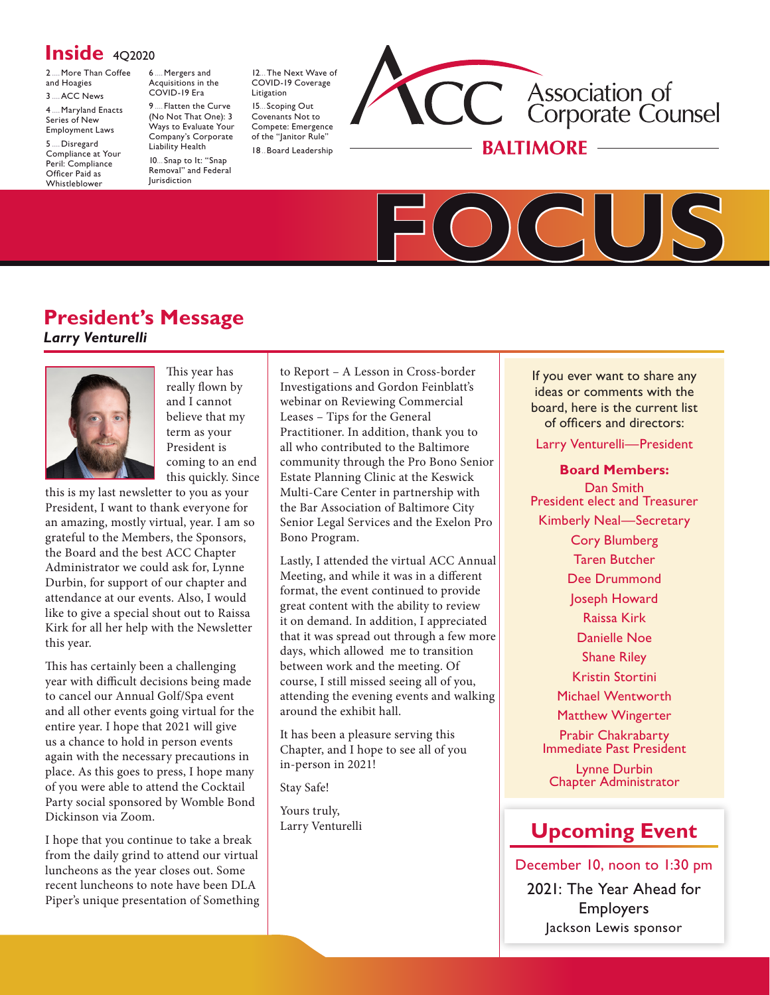# **Inside** 402020

[2.....More](#page-1-0) Than Coffee and [Hoagies](#page-1-0) [3.....ACC](#page-2-0) News

[4.....Maryland](#page-3-0) Enacts [Series](#page-3-0) of New [Employment](#page-3-0) Laws

[5.....Disregard](#page-4-0) [Compliance](#page-4-0) at Your Peril: [Compliance](#page-4-0) [Officer](#page-4-0) Paid as [Whistleblower](#page-4-0)

[6.....Mergers](#page-5-0) and [Acquisitions](#page-5-0) in the [COVID-19](#page-5-0) Era 9..... [Flatten](#page-8-0) the Curve

(No Not That [One\):](#page-8-0) 3 Ways to [Evaluate](#page-8-0) Your [Company's](#page-8-0) Corporate [Liability](#page-8-0) Health 10.... Snap to It: "Snap Removal" and Federal Jurisdiction

[12....The](#page-11-0) Next Wave of [COVID-19](#page-11-0) Coverage [Litigation](#page-11-0) 15.... Scoping Out Covenants Not to Compete: Emergence of the "Janitor Rule" 18. Board [Leadership](#page-17-0)





# **President's Message**  *Larry Venturelli*



This year has really flown by and I cannot believe that my term as your President is coming to an end this quickly. Since

this is my last newsletter to you as your President, I want to thank everyone for an amazing, mostly virtual, year. I am so grateful to the Members, the Sponsors, the Board and the best ACC Chapter Administrator we could ask for, Lynne Durbin, for support of our chapter and attendance at our events. Also, I would like to give a special shout out to Raissa Kirk for all her help with the Newsletter this year.

This has certainly been a challenging year with difficult decisions being made to cancel our Annual Golf/Spa event and all other events going virtual for the entire year. I hope that 2021 will give us a chance to hold in person events again with the necessary precautions in place. As this goes to press, I hope many of you were able to attend the Cocktail Party social sponsored by Womble Bond Dickinson via Zoom.

I hope that you continue to take a break from the daily grind to attend our virtual luncheons as the year closes out. Some recent luncheons to note have been DLA Piper's unique presentation of Something to Report – A Lesson in Cross-border Investigations and Gordon Feinblatt's webinar on Reviewing Commercial Leases – Tips for the General Practitioner. In addition, thank you to all who contributed to the Baltimore community through the Pro Bono Senior Estate Planning Clinic at the Keswick Multi-Care Center in partnership with the Bar Association of Baltimore City Senior Legal Services and the Exelon Pro Bono Program.

Lastly, I attended the virtual ACC Annual Meeting, and while it was in a different format, the event continued to provide great content with the ability to review it on demand. In addition, I appreciated that it was spread out through a few more days, which allowed me to transition between work and the meeting. Of course, I still missed seeing all of you, attending the evening events and walking around the exhibit hall.

It has been a pleasure serving this Chapter, and I hope to see all of you in-person in 2021!

Stay Safe!

Yours truly, Larry Venturelli

If you ever want to share any ideas or comments with the board, here is the current list of officers and directors:

Larry Venturelli—President

**Board Members:**

Dan Smith President elect and Treasurer Kimberly Neal—Secretary Cory Blumberg Taren Butcher Dee Drummond Joseph Howard Raissa Kirk Danielle Noe Shane Riley Kristin Stortini Michael Wentworth Matthew Wingerter Prabir Chakrabarty Immediate Past President Lynne Durbin Chapter Administrator

# **[Upcoming Event](https://www.acc.com/chapters-networks/chapters/baltimore/events)**

December 10, noon to 1:30 pm 2021: The Year Ahead for Employers Jackson Lewis sponsor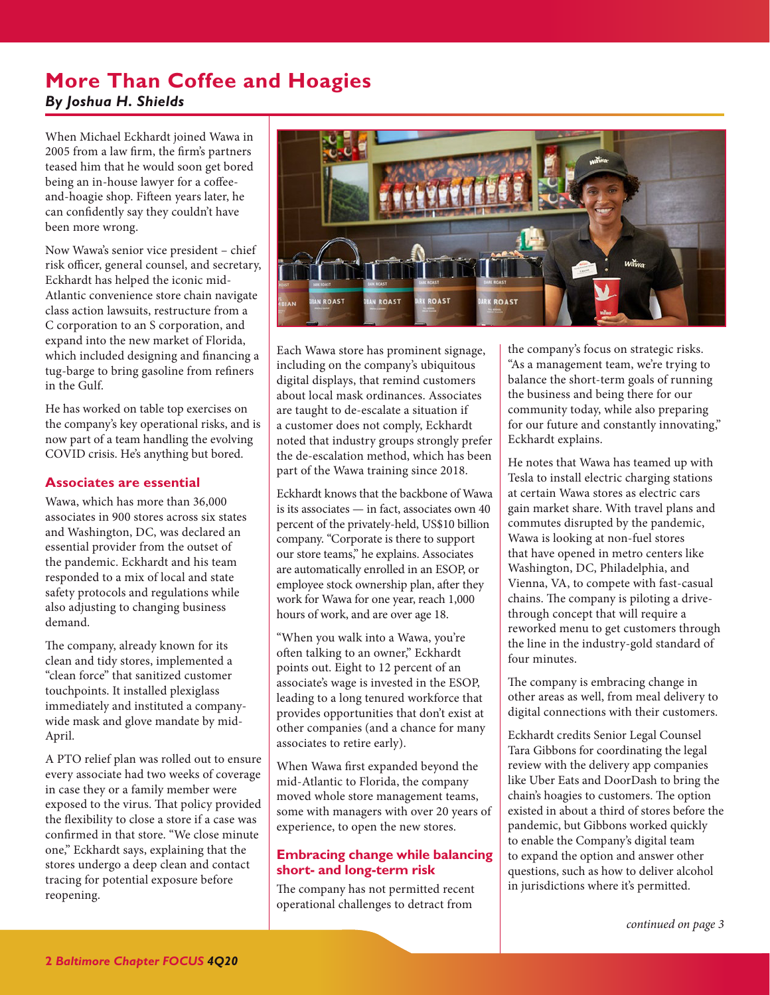# <span id="page-1-1"></span><span id="page-1-0"></span>**More Than Coffee and Hoagies** *By Joshua H. Shields*

When Michael Eckhardt joined Wawa in 2005 from a law firm, the firm's partners teased him that he would soon get bored being an in-house lawyer for a coffeeand-hoagie shop. Fifteen years later, he can confidently say they couldn't have been more wrong.

Now Wawa's senior vice president – chief risk officer, general counsel, and secretary, Eckhardt has helped the iconic mid-Atlantic convenience store chain navigate class action lawsuits, restructure from a C corporation to an S corporation, and expand into the new market of Florida, which included designing and financing a tug-barge to bring gasoline from refiners in the Gulf.

He has worked on table top exercises on the company's key operational risks, and is now part of a team handling the evolving COVID crisis. He's anything but bored.

## **Associates are essential**

Wawa, which has more than 36,000 associates in 900 stores across six states and Washington, DC, was declared an essential provider from the outset of the pandemic. Eckhardt and his team responded to a mix of local and state safety protocols and regulations while also adjusting to changing business demand.

The company, already known for its clean and tidy stores, implemented a "clean force" that sanitized customer touchpoints. It installed plexiglass immediately and instituted a companywide mask and glove mandate by mid-April.

A PTO relief plan was rolled out to ensure every associate had two weeks of coverage in case they or a family member were exposed to the virus. That policy provided the flexibility to close a store if a case was confirmed in that store. "We close minute one," Eckhardt says, explaining that the stores undergo a deep clean and contact tracing for potential exposure before reopening.



Each Wawa store has prominent signage, including on the company's ubiquitous digital displays, that remind customers about local mask ordinances. Associates are taught to de-escalate a situation if a customer does not comply, Eckhardt noted that industry groups strongly prefer the de-escalation method, which has been part of the Wawa training since 2018.

Eckhardt knows that the backbone of Wawa is its associates — in fact, associates own 40 percent of the privately-held, US\$10 billion company. "Corporate is there to support our store teams," he explains. Associates are automatically enrolled in an ESOP, or employee stock ownership plan, after they work for Wawa for one year, reach 1,000 hours of work, and are over age 18.

"When you walk into a Wawa, you're often talking to an owner," Eckhardt points out. Eight to 12 percent of an associate's wage is invested in the ESOP, leading to a long tenured workforce that provides opportunities that don't exist at other companies (and a chance for many associates to retire early).

When Wawa first expanded beyond the mid-Atlantic to Florida, the company moved whole store management teams, some with managers with over 20 years of experience, to open the new stores.

## **Embracing change while balancing short- and long-term risk**

The company has not permitted recent operational challenges to detract from

the company's focus on strategic risks. "As a management team, we're trying to balance the short-term goals of running the business and being there for our community today, while also preparing for our future and constantly innovating," Eckhardt explains.

He notes that Wawa has teamed up with Tesla to install electric charging stations at certain Wawa stores as electric cars gain market share. With travel plans and commutes disrupted by the pandemic, Wawa is looking at non-fuel stores that have opened in metro centers like Washington, DC, Philadelphia, and Vienna, VA, to compete with fast-casual chains. The company is piloting a drivethrough concept that will require a reworked menu to get customers through the line in the industry-gold standard of four minutes.

The company is embracing change in other areas as well, from meal delivery to digital connections with their customers.

Eckhardt credits Senior Legal Counsel Tara Gibbons for coordinating the legal review with the delivery app companies like Uber Eats and DoorDash to bring the chain's hoagies to customers. The option existed in about a third of stores before the pandemic, but Gibbons worked quickly to enable the Company's digital team to expand the option and answer other questions, such as how to deliver alcohol in jurisdictions where it's permitted.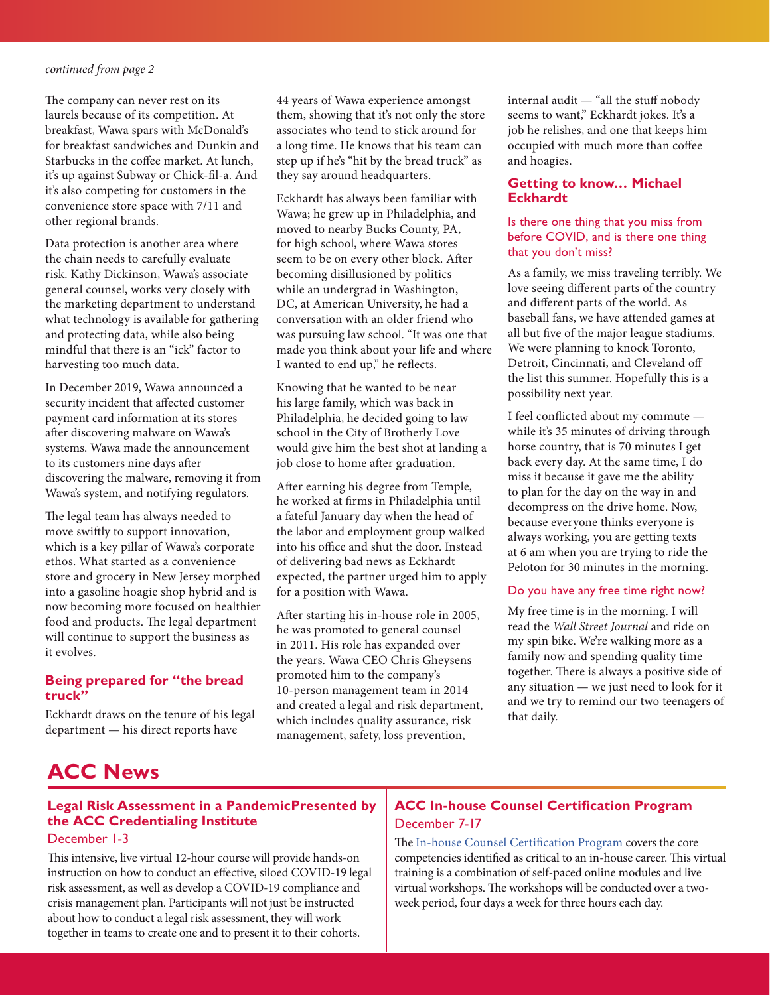<span id="page-2-1"></span>The company can never rest on its laurels because of its competition. At breakfast, Wawa spars with McDonald's for breakfast sandwiches and Dunkin and Starbucks in the coffee market. At lunch, it's up against Subway or Chick-fil-a. And it's also competing for customers in the convenience store space with 7/11 and other regional brands.

Data protection is another area where the chain needs to carefully evaluate risk. Kathy Dickinson, Wawa's associate general counsel, works very closely with the marketing department to understand what technology is available for gathering and protecting data, while also being mindful that there is an "ick" factor to harvesting too much data.

In December 2019, Wawa announced a security incident that affected customer payment card information at its stores after discovering malware on Wawa's systems. Wawa made the announcement to its customers nine days after discovering the malware, removing it from Wawa's system, and notifying regulators.

The legal team has always needed to move swiftly to support innovation, which is a key pillar of Wawa's corporate ethos. What started as a convenience store and grocery in New Jersey morphed into a gasoline hoagie shop hybrid and is now becoming more focused on healthier food and products. The legal department will continue to support the business as it evolves.

## **Being prepared for "the bread truck"**

Eckhardt draws on the tenure of his legal department — his direct reports have

44 years of Wawa experience amongst them, showing that it's not only the store associates who tend to stick around for a long time. He knows that his team can step up if he's "hit by the bread truck" as they say around headquarters.

Eckhardt has always been familiar with Wawa; he grew up in Philadelphia, and moved to nearby Bucks County, PA, for high school, where Wawa stores seem to be on every other block. After becoming disillusioned by politics while an undergrad in Washington, DC, at American University, he had a conversation with an older friend who was pursuing law school. "It was one that made you think about your life and where I wanted to end up," he reflects.

Knowing that he wanted to be near his large family, which was back in Philadelphia, he decided going to law school in the City of Brotherly Love would give him the best shot at landing a job close to home after graduation.

After earning his degree from Temple, he worked at firms in Philadelphia until a fateful January day when the head of the labor and employment group walked into his office and shut the door. Instead of delivering bad news as Eckhardt expected, the partner urged him to apply for a position with Wawa.

After starting his in-house role in 2005, he was promoted to general counsel in 2011. His role has expanded over the years. Wawa CEO Chris Gheysens promoted him to the company's 10-person management team in 2014 and created a legal and risk department, which includes quality assurance, risk management, safety, loss prevention,

internal audit — "all the stuff nobody seems to want," Eckhardt jokes. It's a job he relishes, and one that keeps him occupied with much more than coffee and hoagies.

## **Getting to know… Michael Eckhardt**

### Is there one thing that you miss from before COVID, and is there one thing that you don't miss?

As a family, we miss traveling terribly. We love seeing different parts of the country and different parts of the world. As baseball fans, we have attended games at all but five of the major league stadiums. We were planning to knock Toronto, Detroit, Cincinnati, and Cleveland off the list this summer. Hopefully this is a possibility next year.

I feel conflicted about my commute while it's 35 minutes of driving through horse country, that is 70 minutes I get back every day. At the same time, I do miss it because it gave me the ability to plan for the day on the way in and decompress on the drive home. Now, because everyone thinks everyone is always working, you are getting texts at 6 am when you are trying to ride the Peloton for 30 minutes in the morning.

#### Do you have any free time right now?

My free time is in the morning. I will read the *Wall Street Journal* and ride on my spin bike. We're walking more as a family now and spending quality time together. There is always a positive side of any situation — we just need to look for it and we try to remind our two teenagers of that daily.

# <span id="page-2-0"></span>**ACC News**

## **Legal Risk Assessment in a PandemicPresented by the ACC Credentialing Institute**

## December 1-3

This intensive, live virtual 12-hour course will provide hands-on instruction on how to conduct an effective, siloed COVID-19 legal risk assessment, as well as develop a COVID-19 compliance and crisis management plan. Participants will not just be instructed about how to conduct a legal risk assessment, they will work together in teams to create one and to present it to their cohorts.

## **ACC In-house Counsel Certification Program** December 7-17

The [In-house Counsel Certification Program](https://www.acc.com/credentialing) covers the core competencies identified as critical to an in-house career. This virtual training is a combination of self-paced online modules and live virtual workshops. The workshops will be conducted over a twoweek period, four days a week for three hours each day.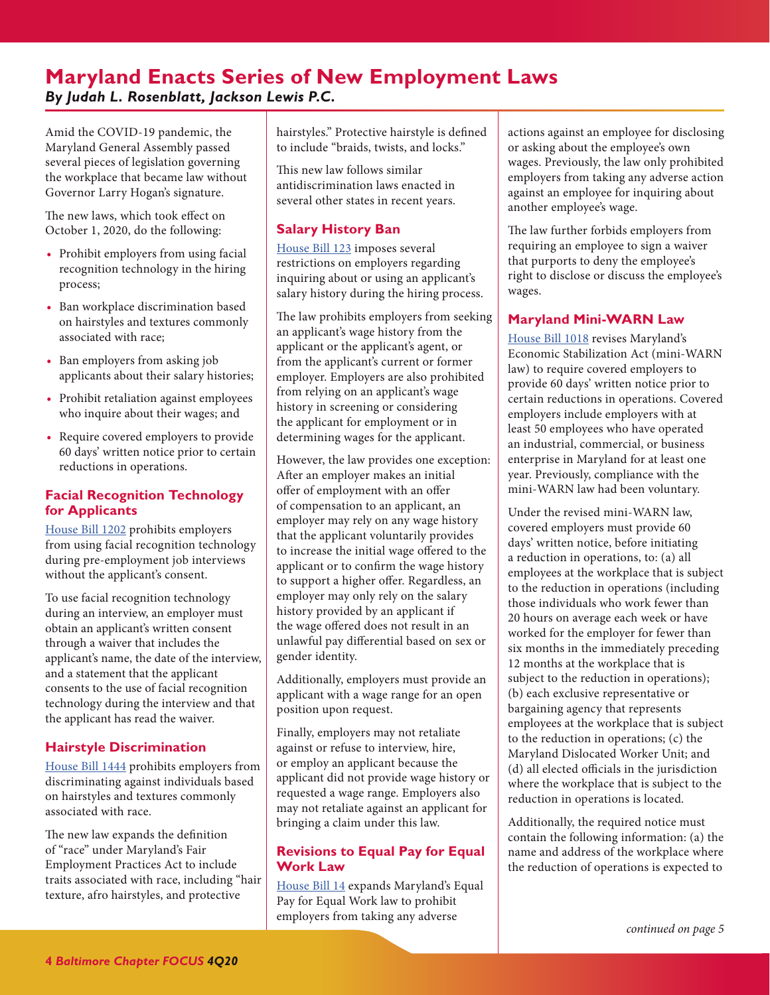# <span id="page-3-1"></span><span id="page-3-0"></span>**Maryland Enacts Series of New Employment Laws**  *By Judah L. Rosenblatt, Jackson Lewis P.C.*

Amid the COVID-19 pandemic, the Maryland General Assembly passed several pieces of legislation governing the workplace that became law without Governor Larry Hogan's signature.

The new laws, which took effect on October 1, 2020, do the following:

- **•** Prohibit employers from using facial recognition technology in the hiring process;
- **•** Ban workplace discrimination based on hairstyles and textures commonly associated with race;
- **•** Ban employers from asking job applicants about their salary histories;
- **•** Prohibit retaliation against employees who inquire about their wages; and
- **•** Require covered employers to provide 60 days' written notice prior to certain reductions in operations.

## **Facial Recognition Technology for Applicants**

[House Bill 1202](https://legiscan.com/MD/text/HB1202/id/2169556/Maryland-2020-HB1202-Engrossed.pdf) prohibits employers from using facial recognition technology during pre-employment job interviews without the applicant's consent.

To use facial recognition technology during an interview, an employer must obtain an applicant's written consent through a waiver that includes the applicant's name, the date of the interview, and a statement that the applicant consents to the use of facial recognition technology during the interview and that the applicant has read the waiver.

## **Hairstyle Discrimination**

[House Bill 1444](https://legiscan.com/MD/text/HB1444/id/2171032/Maryland-2020-HB1444-Engrossed.pdf) prohibits employers from discriminating against individuals based on hairstyles and textures commonly associated with race.

The new law expands the definition of "race" under Maryland's Fair Employment Practices Act to include traits associated with race, including "hair texture, afro hairstyles, and protective

hairstyles." Protective hairstyle is defined to include "braids, twists, and locks."

This new law follows similar antidiscrimination laws enacted in several other states in recent years.

## **Salary History Ban**

[House Bill 123](https://legiscan.com/MD/text/HB123/id/2168134/Maryland-2020-HB123-Engrossed.pdf) imposes several restrictions on employers regarding inquiring about or using an applicant's salary history during the hiring process.

The law prohibits employers from seeking an applicant's wage history from the applicant or the applicant's agent, or from the applicant's current or former employer. Employers are also prohibited from relying on an applicant's wage history in screening or considering the applicant for employment or in determining wages for the applicant.

However, the law provides one exception: After an employer makes an initial offer of employment with an offer of compensation to an applicant, an employer may rely on any wage history that the applicant voluntarily provides to increase the initial wage offered to the applicant or to confirm the wage history to support a higher offer. Regardless, an employer may only rely on the salary history provided by an applicant if the wage offered does not result in an unlawful pay differential based on sex or gender identity.

Additionally, employers must provide an applicant with a wage range for an open position upon request.

Finally, employers may not retaliate against or refuse to interview, hire, or employ an applicant because the applicant did not provide wage history or requested a wage range. Employers also may not retaliate against an applicant for bringing a claim under this law.

## **Revisions to Equal Pay for Equal Work Law**

[House Bill 14](https://legiscan.com/MD/text/HB14/id/2151217/Maryland-2020-HB14-Engrossed.pdf) expands Maryland's Equal Pay for Equal Work law to prohibit employers from taking any adverse

actions against an employee for disclosing or asking about the employee's own wages. Previously, the law only prohibited employers from taking any adverse action against an employee for inquiring about another employee's wage.

The law further forbids employers from requiring an employee to sign a waiver that purports to deny the employee's right to disclose or discuss the employee's wages.

## **Maryland Mini-WARN Law**

[House Bill 1018](https://legiscan.com/MD/text/HB1018/id/2166952/Maryland-2020-HB1018-Engrossed.pdf) revises Maryland's Economic Stabilization Act (mini-WARN law) to require covered employers to provide 60 days' written notice prior to certain reductions in operations. Covered employers include employers with at least 50 employees who have operated an industrial, commercial, or business enterprise in Maryland for at least one year. Previously, compliance with the mini-WARN law had been voluntary.

Under the revised mini-WARN law, covered employers must provide 60 days' written notice, before initiating a reduction in operations, to: (a) all employees at the workplace that is subject to the reduction in operations (including those individuals who work fewer than 20 hours on average each week or have worked for the employer for fewer than six months in the immediately preceding 12 months at the workplace that is subject to the reduction in operations); (b) each exclusive representative or bargaining agency that represents employees at the workplace that is subject to the reduction in operations; (c) the Maryland Dislocated Worker Unit; and (d) all elected officials in the jurisdiction where the workplace that is subject to the reduction in operations is located.

Additionally, the required notice must contain the following information: (a) the name and address of the workplace where the reduction of operations is expected to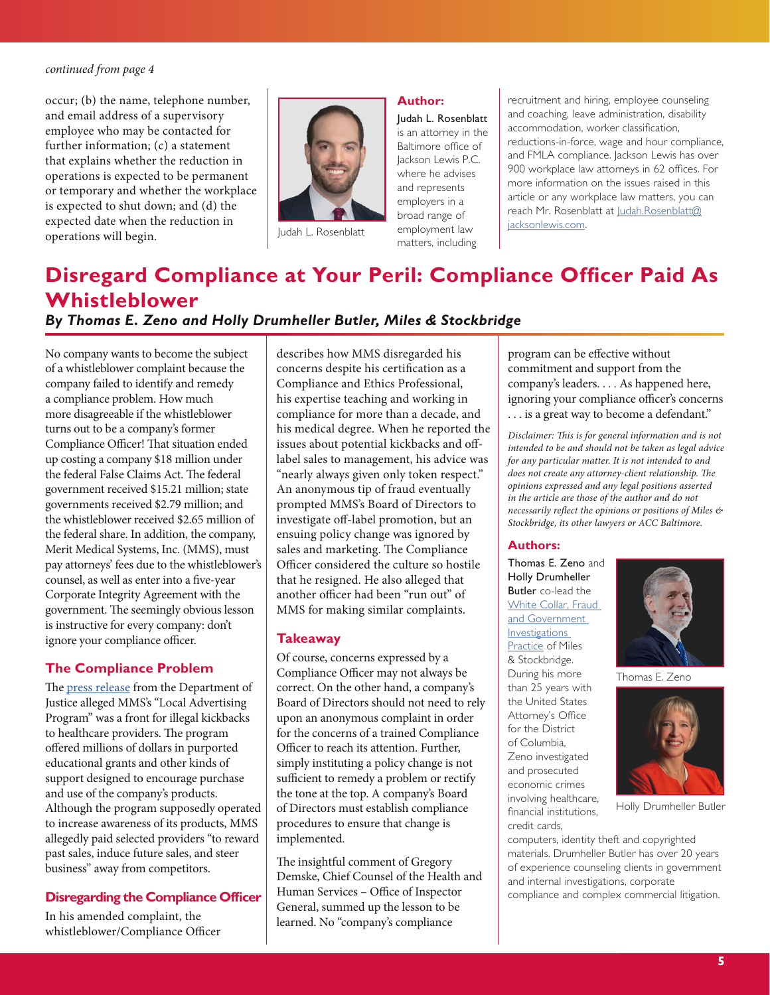<span id="page-4-1"></span>occur; (b) the name, telephone number, and email address of a supervisory employee who may be contacted for further information; (c) a statement that explains whether the reduction in operations is expected to be permanent or temporary and whether the workplace is expected to shut down; and (d) the expected date when the reduction in operations will begin.



Judah L. Rosenblatt

#### **Author:**

Judah L. Rosenblatt is an attorney in the Baltimore office of lackson Lewis P.C. where he advises and represents employers in a broad range of employment law matters, including

recruitment and hiring, employee counseling and coaching, leave administration, disability accommodation, worker classification, reductions-in-force, wage and hour compliance, and FMLA compliance. Jackson Lewis has over 900 workplace law attorneys in 62 offices. For more information on the issues raised in this article or any workplace law matters, you can reach Mr. Rosenblatt at [Judah.Rosenblatt@](mailto:Judah.Rosenblatt%40jacksonlewis.com?subject=) [jacksonlewis.com](mailto:Judah.Rosenblatt%40jacksonlewis.com?subject=).

# <span id="page-4-0"></span>**Disregard Compliance at Your Peril: Compliance Officer Paid As Whistleblower**

## *By Thomas E. Zeno and Holly Drumheller Butler, Miles & Stockbridge*

No company wants to become the subject of a whistleblower complaint because the company failed to identify and remedy a compliance problem. How much more disagreeable if the whistleblower turns out to be a company's former Compliance Officer! That situation ended up costing a company \$18 million under the federal False Claims Act. The federal government received \$15.21 million; state governments received \$2.79 million; and the whistleblower received \$2.65 million of the federal share. In addition, the company, Merit Medical Systems, Inc. (MMS), must pay attorneys' fees due to the whistleblower's counsel, as well as enter into a five-year Corporate Integrity Agreement with the government. The seemingly obvious lesson is instructive for every company: don't ignore your compliance officer.

#### **The Compliance Problem**

The [press release](https://www.justice.gov/opa/pr/medical-device-maker-merit-medical-pay-18-million-settle-allegations-improper-payments) from the Department of Justice alleged MMS's "Local Advertising Program" was a front for illegal kickbacks to healthcare providers. The program offered millions of dollars in purported educational grants and other kinds of support designed to encourage purchase and use of the company's products. Although the program supposedly operated to increase awareness of its products, MMS allegedly paid selected providers "to reward past sales, induce future sales, and steer business" away from competitors.

## **Disregarding the Compliance Officer**

In his amended complaint, the whistleblower/Compliance Officer describes how MMS disregarded his concerns despite his certification as a Compliance and Ethics Professional, his expertise teaching and working in compliance for more than a decade, and his medical degree. When he reported the issues about potential kickbacks and offlabel sales to management, his advice was "nearly always given only token respect." An anonymous tip of fraud eventually prompted MMS's Board of Directors to investigate off-label promotion, but an ensuing policy change was ignored by sales and marketing. The Compliance Officer considered the culture so hostile that he resigned. He also alleged that another officer had been "run out" of MMS for making similar complaints.

#### **Takeaway**

Of course, concerns expressed by a Compliance Officer may not always be correct. On the other hand, a company's Board of Directors should not need to rely upon an anonymous complaint in order for the concerns of a trained Compliance Officer to reach its attention. Further, simply instituting a policy change is not sufficient to remedy a problem or rectify the tone at the top. A company's Board of Directors must establish compliance procedures to ensure that change is implemented.

The insightful comment of Gregory Demske, Chief Counsel of the Health and Human Services – Office of Inspector General, summed up the lesson to be learned. No "company's compliance

program can be effective without commitment and support from the company's leaders. . . . As happened here, ignoring your compliance officer's concerns . . . is a great way to become a defendant."

*Disclaimer: This is for general information and is not intended to be and should not be taken as legal advice for any particular matter. It is not intended to and does not create any attorney-client relationship. The opinions expressed and any legal positions asserted in the article are those of the author and do not necessarily reflect the opinions or positions of Miles & Stockbridge, its other lawyers or ACC Baltimore.*

#### **Authors:**

[Thomas](https://www.mslaw.com/thomas-e-zeno) E. Zeno and Holly [Drumheller](https://www.mslaw.com/holly-drumheller-butler) [Butler](https://www.mslaw.com/holly-drumheller-butler) co-lead the [White Collar, Fraud](https://www.mslaw.com/white-collar-fraud-government-investigations)  [and Government](https://www.mslaw.com/white-collar-fraud-government-investigations)  [Investigations](https://www.mslaw.com/white-collar-fraud-government-investigations)  [Practice](https://www.mslaw.com/white-collar-fraud-government-investigations) of Miles & Stockbridge. During his more than 25 years with the United States Attorney's Office for the District of Columbia, Zeno investigated and prosecuted economic crimes involving healthcare, financial institutions, credit cards,



Thomas E. Zeno



Holly Drumheller Butler

computers, identity theft and copyrighted materials. Drumheller Butler has over 20 years of experience counseling clients in government and internal investigations, corporate compliance and complex commercial litigation.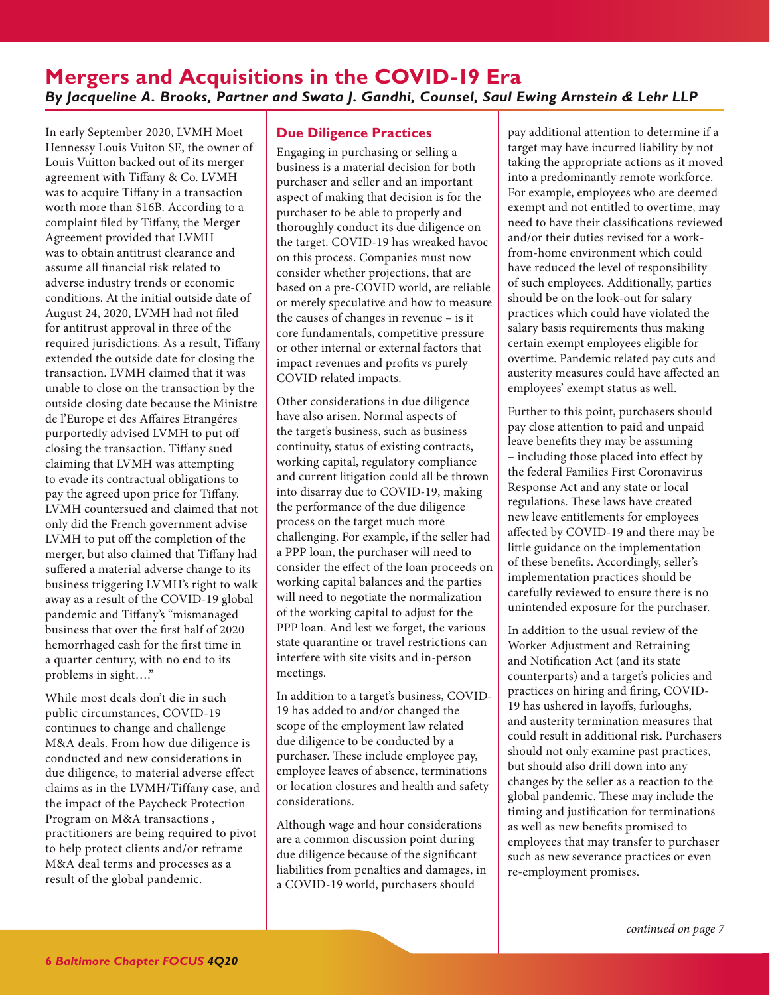## <span id="page-5-1"></span><span id="page-5-0"></span>**Mergers and Acquisitions in the COVID-19 Era** *By Jacqueline A. Brooks, Partner and Swata J. Gandhi, Counsel, Saul Ewing Arnstein & Lehr LLP*

In early September 2020, LVMH Moet Hennessy Louis Vuiton SE, the owner of Louis Vuitton backed out of its merger agreement with Tiffany & Co. LVMH was to acquire Tiffany in a transaction worth more than \$16B. According to a complaint filed by Tiffany, the Merger Agreement provided that LVMH was to obtain antitrust clearance and assume all financial risk related to adverse industry trends or economic conditions. At the initial outside date of August 24, 2020, LVMH had not filed for antitrust approval in three of the required jurisdictions. As a result, Tiffany extended the outside date for closing the transaction. LVMH claimed that it was unable to close on the transaction by the outside closing date because the Ministre de l'Europe et des Affaires Etrangéres purportedly advised LVMH to put off closing the transaction. Tiffany sued claiming that LVMH was attempting to evade its contractual obligations to pay the agreed upon price for Tiffany. LVMH countersued and claimed that not only did the French government advise LVMH to put off the completion of the merger, but also claimed that Tiffany had suffered a material adverse change to its business triggering LVMH's right to walk away as a result of the COVID-19 global pandemic and Tiffany's "mismanaged business that over the first half of 2020 hemorrhaged cash for the first time in a quarter century, with no end to its problems in sight…."

While most deals don't die in such public circumstances, COVID-19 continues to change and challenge M&A deals. From how due diligence is conducted and new considerations in due diligence, to material adverse effect claims as in the LVMH/Tiffany case, and the impact of the Paycheck Protection Program on M&A transactions , practitioners are being required to pivot to help protect clients and/or reframe M&A deal terms and processes as a result of the global pandemic.

## **Due Diligence Practices**

Engaging in purchasing or selling a business is a material decision for both purchaser and seller and an important aspect of making that decision is for the purchaser to be able to properly and thoroughly conduct its due diligence on the target. COVID-19 has wreaked havoc on this process. Companies must now consider whether projections, that are based on a pre-COVID world, are reliable or merely speculative and how to measure the causes of changes in revenue – is it core fundamentals, competitive pressure or other internal or external factors that impact revenues and profits vs purely COVID related impacts.

Other considerations in due diligence have also arisen. Normal aspects of the target's business, such as business continuity, status of existing contracts, working capital, regulatory compliance and current litigation could all be thrown into disarray due to COVID-19, making the performance of the due diligence process on the target much more challenging. For example, if the seller had a PPP loan, the purchaser will need to consider the effect of the loan proceeds on working capital balances and the parties will need to negotiate the normalization of the working capital to adjust for the PPP loan. And lest we forget, the various state quarantine or travel restrictions can interfere with site visits and in-person meetings.

In addition to a target's business, COVID-19 has added to and/or changed the scope of the employment law related due diligence to be conducted by a purchaser. These include employee pay, employee leaves of absence, terminations or location closures and health and safety considerations.

Although wage and hour considerations are a common discussion point during due diligence because of the significant liabilities from penalties and damages, in a COVID-19 world, purchasers should

pay additional attention to determine if a target may have incurred liability by not taking the appropriate actions as it moved into a predominantly remote workforce. For example, employees who are deemed exempt and not entitled to overtime, may need to have their classifications reviewed and/or their duties revised for a workfrom-home environment which could have reduced the level of responsibility of such employees. Additionally, parties should be on the look-out for salary practices which could have violated the salary basis requirements thus making certain exempt employees eligible for overtime. Pandemic related pay cuts and austerity measures could have affected an employees' exempt status as well.

Further to this point, purchasers should pay close attention to paid and unpaid leave benefits they may be assuming – including those placed into effect by the federal Families First Coronavirus Response Act and any state or local regulations. These laws have created new leave entitlements for employees affected by COVID-19 and there may be little guidance on the implementation of these benefits. Accordingly, seller's implementation practices should be carefully reviewed to ensure there is no unintended exposure for the purchaser.

In addition to the usual review of the Worker Adjustment and Retraining and Notification Act (and its state counterparts) and a target's policies and practices on hiring and firing, COVID-19 has ushered in layoffs, furloughs, and austerity termination measures that could result in additional risk. Purchasers should not only examine past practices, but should also drill down into any changes by the seller as a reaction to the global pandemic. These may include the timing and justification for terminations as well as new benefits promised to employees that may transfer to purchaser such as new severance practices or even re-employment promises.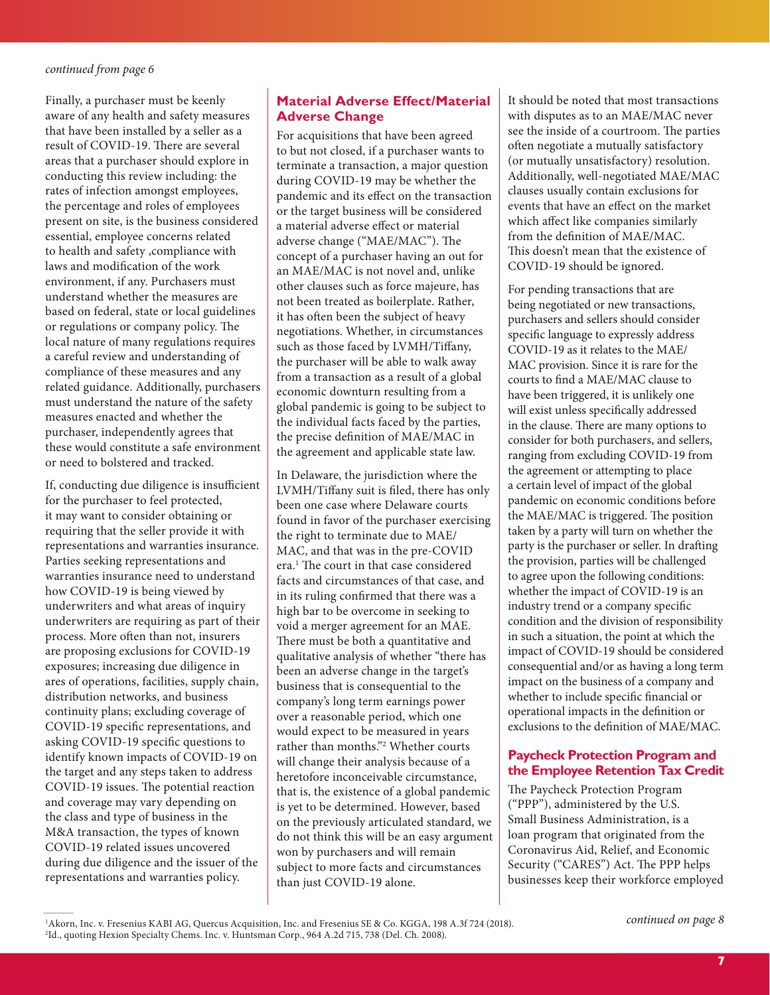<span id="page-6-0"></span>Finally, a purchaser must be keenly aware of any health and safety measures that have been installed by a seller as a result of COVID-19. There are several areas that a purchaser should explore in conducting this review including: the rates of infection amongst employees, the percentage and roles of employees present on site, is the business considered essential, employee concerns related to health and safety ,compliance with laws and modification of the work environment, if any. Purchasers must understand whether the measures are based on federal, state or local guidelines or regulations or company policy. The local nature of many regulations requires a careful review and understanding of compliance of these measures and any related guidance. Additionally, purchasers must understand the nature of the safety measures enacted and whether the purchaser, independently agrees that these would constitute a safe environment or need to bolstered and tracked.

If, conducting due diligence is insufficient for the purchaser to feel protected, it may want to consider obtaining or requiring that the seller provide it with representations and warranties insurance. Parties seeking representations and warranties insurance need to understand how COVID-19 is being viewed by underwriters and what areas of inquiry underwriters are requiring as part of their process. More often than not, insurers are proposing exclusions for COVID-19 exposures; increasing due diligence in ares of operations, facilities, supply chain, distribution networks, and business continuity plans; excluding coverage of COVID-19 specific representations, and asking COVID-19 specific questions to identify known impacts of COVID-19 on the target and any steps taken to address COVID-19 issues. The potential reaction and coverage may vary depending on the class and type of business in the M&A transaction, the types of known COVID-19 related issues uncovered during due diligence and the issuer of the representations and warranties policy.

## **Material Adverse Effect/Material Adverse Change**

For acquisitions that have been agreed to but not closed, if a purchaser wants to terminate a transaction, a major question during COVID-19 may be whether the pandemic and its effect on the transaction or the target business will be considered a material adverse effect or material adverse change ("MAE/MAC"). The concept of a purchaser having an out for an MAE/MAC is not novel and, unlike other clauses such as force majeure, has not been treated as boilerplate. Rather, it has often been the subject of heavy negotiations. Whether, in circumstances such as those faced by LVMH/Tiffany, the purchaser will be able to walk away from a transaction as a result of a global economic downturn resulting from a global pandemic is going to be subject to the individual facts faced by the parties, the precise definition of MAE/MAC in the agreement and applicable state law.

In Delaware, the jurisdiction where the LVMH/Tiffany suit is filed, there has only been one case where Delaware courts found in favor of the purchaser exercising the right to terminate due to MAE/ MAC, and that was in the pre-COVID era.<sup>1</sup> The court in that case considered facts and circumstances of that case, and in its ruling confirmed that there was a high bar to be overcome in seeking to void a merger agreement for an MAE. There must be both a quantitative and qualitative analysis of whether "there has been an adverse change in the target's business that is consequential to the company's long term earnings power over a reasonable period, which one would expect to be measured in years rather than months."2 Whether courts will change their analysis because of a heretofore inconceivable circumstance, that is, the existence of a global pandemic is yet to be determined. However, based on the previously articulated standard, we do not think this will be an easy argument won by purchasers and will remain subject to more facts and circumstances than just COVID-19 alone.

It should be noted that most transactions with disputes as to an MAE/MAC never see the inside of a courtroom. The parties often negotiate a mutually satisfactory (or mutually unsatisfactory) resolution. Additionally, well-negotiated MAE/MAC clauses usually contain exclusions for events that have an effect on the market which affect like companies similarly from the definition of MAE/MAC. This doesn't mean that the existence of COVID-19 should be ignored.

For pending transactions that are being negotiated or new transactions, purchasers and sellers should consider specific language to expressly address COVID-19 as it relates to the MAE/ MAC provision. Since it is rare for the courts to find a MAE/MAC clause to have been triggered, it is unlikely one will exist unless specifically addressed in the clause. There are many options to consider for both purchasers, and sellers, ranging from excluding COVID-19 from the agreement or attempting to place a certain level of impact of the global pandemic on economic conditions before the MAE/MAC is triggered. The position taken by a party will turn on whether the party is the purchaser or seller. In drafting the provision, parties will be challenged to agree upon the following conditions: whether the impact of COVID-19 is an industry trend or a company specific condition and the division of responsibility in such a situation, the point at which the impact of COVID-19 should be considered consequential and/or as having a long term impact on the business of a company and whether to include specific financial or operational impacts in the definition or exclusions to the definition of MAE/MAC.

## **Paycheck Protection Program and the Employee Retention Tax Credit**

The Paycheck Protection Program ("PPP"), administered by the U.S. Small Business Administration, is a loan program that originated from the Coronavirus Aid, Relief, and Economic Security ("CARES") Act. The PPP helps businesses keep their workforce employed

1 Akorn, Inc. v. Fresenius KABI AG, Quercus Acquisition, Inc. and Fresenius SE & Co. KGGA, 198 A.3f 724 (2018). 2 Id., quoting Hexion Specialty Chems. Inc. v. Huntsman Corp., 964 A.2d 715, 738 (Del. Ch. 2008).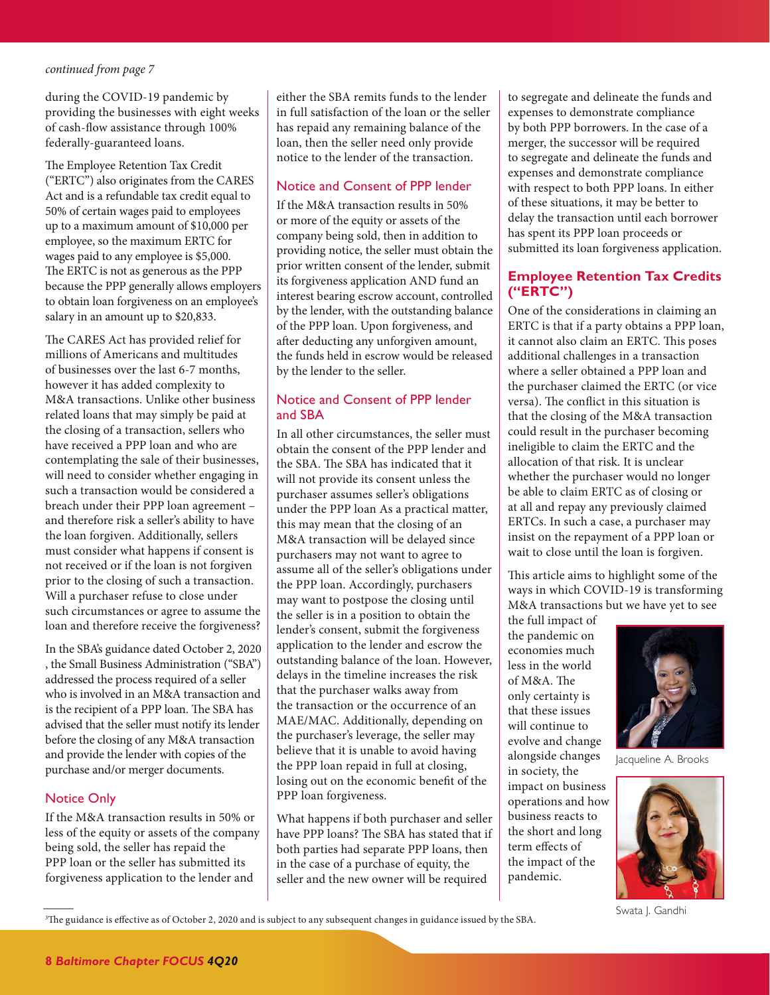<span id="page-7-0"></span>during the COVID-19 pandemic by providing the businesses with eight weeks of cash-flow assistance through 100% federally-guaranteed loans.

The Employee Retention Tax Credit ("ERTC") also originates from the CARES Act and is a refundable tax credit equal to 50% of certain wages paid to employees up to a maximum amount of \$10,000 per employee, so the maximum ERTC for wages paid to any employee is \$5,000. The ERTC is not as generous as the PPP because the PPP generally allows employers to obtain loan forgiveness on an employee's salary in an amount up to \$20,833.

The CARES Act has provided relief for millions of Americans and multitudes of businesses over the last 6-7 months, however it has added complexity to M&A transactions. Unlike other business related loans that may simply be paid at the closing of a transaction, sellers who have received a PPP loan and who are contemplating the sale of their businesses, will need to consider whether engaging in such a transaction would be considered a breach under their PPP loan agreement – and therefore risk a seller's ability to have the loan forgiven. Additionally, sellers must consider what happens if consent is not received or if the loan is not forgiven prior to the closing of such a transaction. Will a purchaser refuse to close under such circumstances or agree to assume the loan and therefore receive the forgiveness?

In the SBA's guidance dated October 2, 2020 , the Small Business Administration ("SBA") addressed the process required of a seller who is involved in an M&A transaction and is the recipient of a PPP loan. The SBA has advised that the seller must notify its lender before the closing of any M&A transaction and provide the lender with copies of the purchase and/or merger documents.

#### Notice Only

If the M&A transaction results in 50% or less of the equity or assets of the company being sold, the seller has repaid the PPP loan or the seller has submitted its forgiveness application to the lender and

either the SBA remits funds to the lender in full satisfaction of the loan or the seller has repaid any remaining balance of the loan, then the seller need only provide notice to the lender of the transaction.

### Notice and Consent of PPP lender

If the M&A transaction results in 50% or more of the equity or assets of the company being sold, then in addition to providing notice, the seller must obtain the prior written consent of the lender, submit its forgiveness application AND fund an interest bearing escrow account, controlled by the lender, with the outstanding balance of the PPP loan. Upon forgiveness, and after deducting any unforgiven amount, the funds held in escrow would be released by the lender to the seller.

## Notice and Consent of PPP lender and SBA

In all other circumstances, the seller must obtain the consent of the PPP lender and the SBA. The SBA has indicated that it will not provide its consent unless the purchaser assumes seller's obligations under the PPP loan As a practical matter, this may mean that the closing of an M&A transaction will be delayed since purchasers may not want to agree to assume all of the seller's obligations under the PPP loan. Accordingly, purchasers may want to postpose the closing until the seller is in a position to obtain the lender's consent, submit the forgiveness application to the lender and escrow the outstanding balance of the loan. However, delays in the timeline increases the risk that the purchaser walks away from the transaction or the occurrence of an MAE/MAC. Additionally, depending on the purchaser's leverage, the seller may believe that it is unable to avoid having the PPP loan repaid in full at closing, losing out on the economic benefit of the PPP loan forgiveness.

What happens if both purchaser and seller have PPP loans? The SBA has stated that if both parties had separate PPP loans, then in the case of a purchase of equity, the seller and the new owner will be required

to segregate and delineate the funds and expenses to demonstrate compliance by both PPP borrowers. In the case of a merger, the successor will be required to segregate and delineate the funds and expenses and demonstrate compliance with respect to both PPP loans. In either of these situations, it may be better to delay the transaction until each borrower has spent its PPP loan proceeds or submitted its loan forgiveness application.

## **Employee Retention Tax Credits ("ERTC")**

One of the considerations in claiming an ERTC is that if a party obtains a PPP loan, it cannot also claim an ERTC. This poses additional challenges in a transaction where a seller obtained a PPP loan and the purchaser claimed the ERTC (or vice versa). The conflict in this situation is that the closing of the M&A transaction could result in the purchaser becoming ineligible to claim the ERTC and the allocation of that risk. It is unclear whether the purchaser would no longer be able to claim ERTC as of closing or at all and repay any previously claimed ERTCs. In such a case, a purchaser may insist on the repayment of a PPP loan or wait to close until the loan is forgiven.

This article aims to highlight some of the ways in which COVID-19 is transforming M&A transactions but we have yet to see

the full impact of the pandemic on economies much less in the world of M&A. The only certainty is that these issues will continue to evolve and change alongside changes in society, the impact on business operations and how business reacts to the short and long term effects of the impact of the pandemic.



Jacqueline A. Brooks



Swata J. Gandhi

3 The guidance is effective as of October 2, 2020 and is subject to any subsequent changes in guidance issued by the SBA.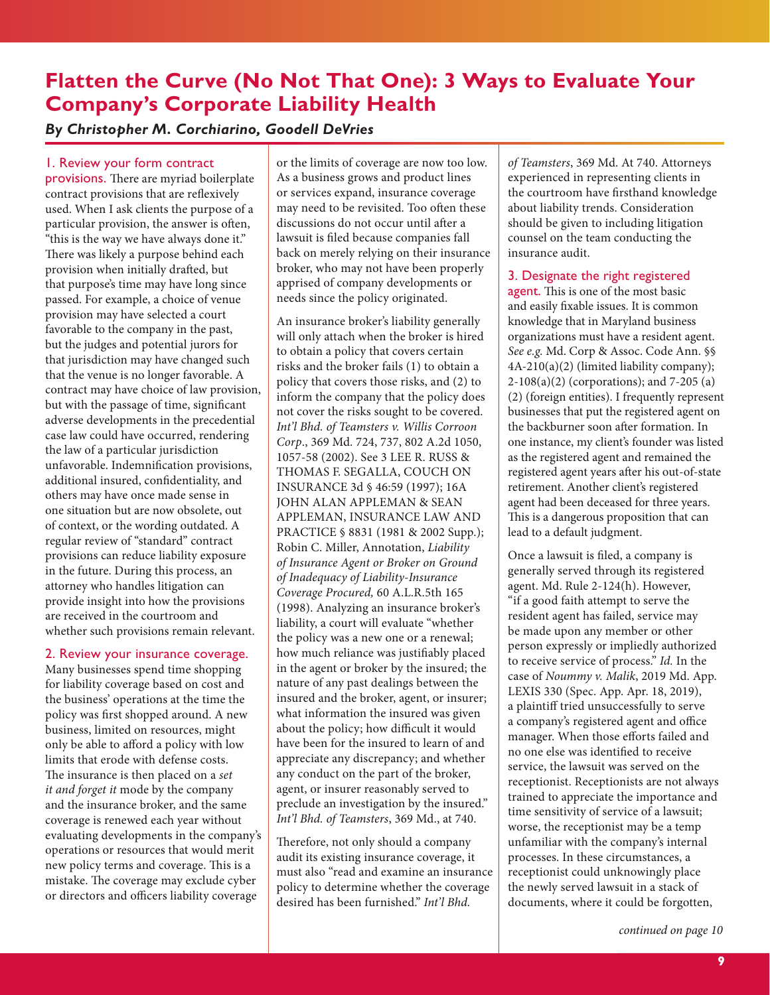# <span id="page-8-1"></span><span id="page-8-0"></span>**Flatten the Curve (No Not That One): 3 Ways to Evaluate Your Company's Corporate Liability Health**

## *By Christopher M. Corchiarino, Goodell DeVries*

## 1. Review your form contract

provisions. There are myriad boilerplate contract provisions that are reflexively used. When I ask clients the purpose of a particular provision, the answer is often, "this is the way we have always done it." There was likely a purpose behind each provision when initially drafted, but that purpose's time may have long since passed. For example, a choice of venue provision may have selected a court favorable to the company in the past, but the judges and potential jurors for that jurisdiction may have changed such that the venue is no longer favorable. A contract may have choice of law provision, but with the passage of time, significant adverse developments in the precedential case law could have occurred, rendering the law of a particular jurisdiction unfavorable. Indemnification provisions, additional insured, confidentiality, and others may have once made sense in one situation but are now obsolete, out of context, or the wording outdated. A regular review of "standard" contract provisions can reduce liability exposure in the future. During this process, an attorney who handles litigation can provide insight into how the provisions are received in the courtroom and whether such provisions remain relevant.

#### 2. Review your insurance coverage.

Many businesses spend time shopping for liability coverage based on cost and the business' operations at the time the policy was first shopped around. A new business, limited on resources, might only be able to afford a policy with low limits that erode with defense costs. The insurance is then placed on a *set it and forget it* mode by the company and the insurance broker, and the same coverage is renewed each year without evaluating developments in the company's operations or resources that would merit new policy terms and coverage. This is a mistake. The coverage may exclude cyber or directors and officers liability coverage

or the limits of coverage are now too low. As a business grows and product lines or services expand, insurance coverage may need to be revisited. Too often these discussions do not occur until after a lawsuit is filed because companies fall back on merely relying on their insurance broker, who may not have been properly apprised of company developments or needs since the policy originated.

An insurance broker's liability generally will only attach when the broker is hired to obtain a policy that covers certain risks and the broker fails (1) to obtain a policy that covers those risks, and (2) to inform the company that the policy does not cover the risks sought to be covered. *Int'l Bhd. of Teamsters v. Willis Corroon Corp*., 369 Md. 724, 737, 802 A.2d 1050, 1057-58 (2002). See 3 LEE R. RUSS & THOMAS F. SEGALLA, COUCH ON INSURANCE 3d § 46:59 (1997); 16A JOHN ALAN APPLEMAN & SEAN APPLEMAN, INSURANCE LAW AND PRACTICE § 8831 (1981 & 2002 Supp.); Robin C. Miller, Annotation, *Liability of Insurance Agent or Broker on Ground of Inadequacy of Liability-Insurance Coverage Procured,* 60 A.L.R.5th 165 (1998). Analyzing an insurance broker's liability, a court will evaluate "whether the policy was a new one or a renewal; how much reliance was justifiably placed in the agent or broker by the insured; the nature of any past dealings between the insured and the broker, agent, or insurer; what information the insured was given about the policy; how difficult it would have been for the insured to learn of and appreciate any discrepancy; and whether any conduct on the part of the broker, agent, or insurer reasonably served to preclude an investigation by the insured." *Int'l Bhd. of Teamsters*, 369 Md., at 740.

Therefore, not only should a company audit its existing insurance coverage, it must also "read and examine an insurance policy to determine whether the coverage desired has been furnished." *Int'l Bhd.* 

*of Teamsters*, 369 Md. At 740. Attorneys experienced in representing clients in the courtroom have firsthand knowledge about liability trends. Consideration should be given to including litigation counsel on the team conducting the insurance audit.

#### 3. Designate the right registered

agent. This is one of the most basic and easily fixable issues. It is common knowledge that in Maryland business organizations must have a resident agent. *See e.g.* Md. Corp & Assoc. Code Ann. §§ 4A-210(a)(2) (limited liability company); 2-108(a)(2) (corporations); and 7-205 (a) (2) (foreign entities). I frequently represent businesses that put the registered agent on the backburner soon after formation. In one instance, my client's founder was listed as the registered agent and remained the registered agent years after his out-of-state retirement. Another client's registered agent had been deceased for three years. This is a dangerous proposition that can lead to a default judgment.

Once a lawsuit is filed, a company is generally served through its registered agent. Md. Rule 2-124(h). However, "if a good faith attempt to serve the resident agent has failed, service may be made upon any member or other person expressly or impliedly authorized to receive service of process." *Id.* In the case of *Noummy v. Malik*, 2019 Md. App. LEXIS 330 (Spec. App. Apr. 18, 2019), a plaintiff tried unsuccessfully to serve a company's registered agent and office manager. When those efforts failed and no one else was identified to receive service, the lawsuit was served on the receptionist. Receptionists are not always trained to appreciate the importance and time sensitivity of service of a lawsuit; worse, the receptionist may be a temp unfamiliar with the company's internal processes. In these circumstances, a receptionist could unknowingly place the newly served lawsuit in a stack of documents, where it could be forgotten,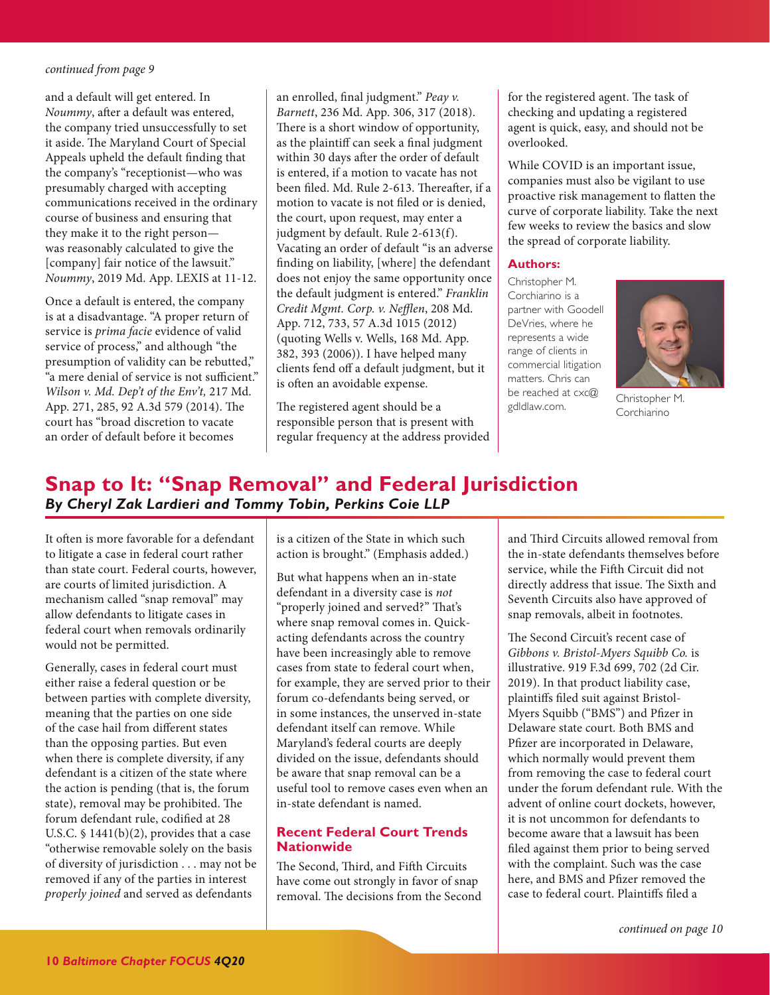<span id="page-9-0"></span>and a default will get entered. In *Noummy*, after a default was entered, the company tried unsuccessfully to set it aside. The Maryland Court of Special Appeals upheld the default finding that the company's "receptionist—who was presumably charged with accepting communications received in the ordinary course of business and ensuring that they make it to the right person was reasonably calculated to give the [company] fair notice of the lawsuit." *Noummy*, 2019 Md. App. LEXIS at 11-12.

Once a default is entered, the company is at a disadvantage. "A proper return of service is *prima facie* evidence of valid service of process," and although "the presumption of validity can be rebutted," "a mere denial of service is not sufficient." *Wilson v. Md. Dep't of the Env't,* 217 Md. App. 271, 285, 92 A.3d 579 (2014). The court has "broad discretion to vacate an order of default before it becomes

an enrolled, final judgment." *Peay v. Barnett*, 236 Md. App. 306, 317 (2018). There is a short window of opportunity, as the plaintiff can seek a final judgment within 30 days after the order of default is entered, if a motion to vacate has not been filed. Md. Rule 2-613. Thereafter, if a motion to vacate is not filed or is denied, the court, upon request, may enter a judgment by default. Rule 2-613(f). Vacating an order of default "is an adverse finding on liability, [where] the defendant does not enjoy the same opportunity once the default judgment is entered." *Franklin Credit Mgmt. Corp. v. Nefflen*, 208 Md. App. 712, 733, 57 A.3d 1015 (2012) (quoting Wells v. Wells, 168 Md. App. 382, 393 (2006)). I have helped many clients fend off a default judgment, but it is often an avoidable expense.

The registered agent should be a responsible person that is present with regular frequency at the address provided for the registered agent. The task of checking and updating a registered agent is quick, easy, and should not be overlooked.

While COVID is an important issue, companies must also be vigilant to use proactive risk management to flatten the curve of corporate liability. Take the next few weeks to review the basics and slow the spread of corporate liability.

#### **Authors:**

Christopher M. Corchiarino is a partner with Goodell DeVries, where he represents a wide range of clients in commercial litigation matters. Chris can be reached at cxc@ gdldlaw.com.



Christopher M. Corchiarino

# **Snap to It: "Snap Removal" and Federal Jurisdiction** *By Cheryl Zak Lardieri and Tommy Tobin, Perkins Coie LLP*

It often is more favorable for a defendant to litigate a case in federal court rather than state court. Federal courts, however, are courts of limited jurisdiction. A mechanism called "snap removal" may allow defendants to litigate cases in federal court when removals ordinarily would not be permitted.

Generally, cases in federal court must either raise a federal question or be between parties with complete diversity, meaning that the parties on one side of the case hail from different states than the opposing parties. But even when there is complete diversity, if any defendant is a citizen of the state where the action is pending (that is, the forum state), removal may be prohibited. The forum defendant rule, codified at 28 U.S.C.  $\frac{1441(b)(2)}{2}$ , provides that a case "otherwise removable solely on the basis of diversity of jurisdiction . . . may not be removed if any of the parties in interest *properly joined* and served as defendants

is a citizen of the State in which such action is brought." (Emphasis added.)

But what happens when an in-state defendant in a diversity case is *not* "properly joined and served?" That's where snap removal comes in. Quickacting defendants across the country have been increasingly able to remove cases from state to federal court when, for example, they are served prior to their forum co-defendants being served, or in some instances, the unserved in-state defendant itself can remove. While Maryland's federal courts are deeply divided on the issue, defendants should be aware that snap removal can be a useful tool to remove cases even when an in-state defendant is named.

## **Recent Federal Court Trends Nationwide**

The Second, Third, and Fifth Circuits have come out strongly in favor of snap removal. The decisions from the Second and Third Circuits allowed removal from the in-state defendants themselves before service, while the Fifth Circuit did not directly address that issue. The Sixth and Seventh Circuits also have approved of snap removals, albeit in footnotes.

The Second Circuit's recent case of *Gibbons v. Bristol-Myers Squibb Co.* is illustrative. 919 F.3d 699, 702 (2d Cir. 2019). In that product liability case, plaintiffs filed suit against Bristol-Myers Squibb ("BMS") and Pfizer in Delaware state court. Both BMS and Pfizer are incorporated in Delaware, which normally would prevent them from removing the case to federal court under the forum defendant rule. With the advent of online court dockets, however, it is not uncommon for defendants to become aware that a lawsuit has been filed against them prior to being served with the complaint. Such was the case here, and BMS and Pfizer removed the case to federal court. Plaintiffs filed a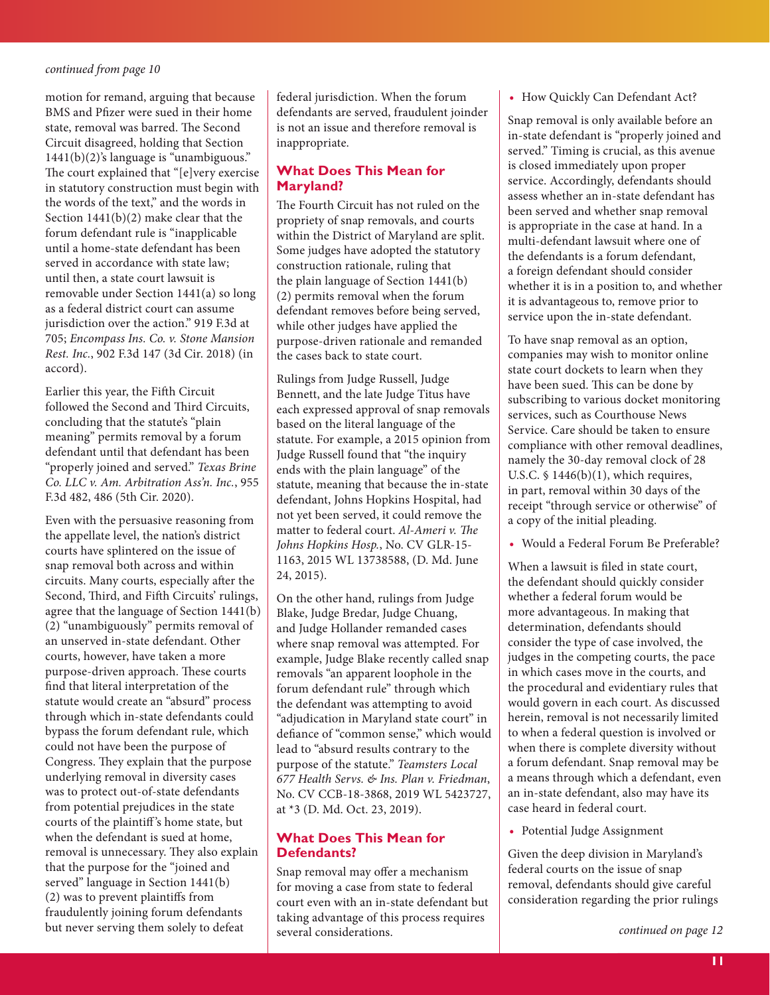<span id="page-10-0"></span>motion for remand, arguing that because BMS and Pfizer were sued in their home state, removal was barred. The Second Circuit disagreed, holding that Section 1441(b)(2)'s language is "unambiguous." The court explained that "[e]very exercise in statutory construction must begin with the words of the text," and the words in Section 1441(b)(2) make clear that the forum defendant rule is "inapplicable until a home-state defendant has been served in accordance with state law; until then, a state court lawsuit is removable under Section 1441(a) so long as a federal district court can assume jurisdiction over the action." 919 F.3d at 705; *Encompass Ins. Co. v. Stone Mansion Rest. Inc.*, 902 F.3d 147 (3d Cir. 2018) (in accord).

Earlier this year, the Fifth Circuit followed the Second and Third Circuits, concluding that the statute's "plain meaning" permits removal by a forum defendant until that defendant has been "properly joined and served." *Texas Brine Co. LLC v. Am. Arbitration Ass'n. Inc.*, 955 F.3d 482, 486 (5th Cir. 2020).

Even with the persuasive reasoning from the appellate level, the nation's district courts have splintered on the issue of snap removal both across and within circuits. Many courts, especially after the Second, Third, and Fifth Circuits' rulings, agree that the language of Section 1441(b) (2) "unambiguously" permits removal of an unserved in-state defendant. Other courts, however, have taken a more purpose-driven approach. These courts find that literal interpretation of the statute would create an "absurd" process through which in-state defendants could bypass the forum defendant rule, which could not have been the purpose of Congress. They explain that the purpose underlying removal in diversity cases was to protect out-of-state defendants from potential prejudices in the state courts of the plaintiff 's home state, but when the defendant is sued at home, removal is unnecessary. They also explain that the purpose for the "joined and served" language in Section 1441(b) (2) was to prevent plaintiffs from fraudulently joining forum defendants but never serving them solely to defeat

federal jurisdiction. When the forum defendants are served, fraudulent joinder is not an issue and therefore removal is inappropriate.

## **What Does This Mean for Maryland?**

The Fourth Circuit has not ruled on the propriety of snap removals, and courts within the District of Maryland are split. Some judges have adopted the statutory construction rationale, ruling that the plain language of Section 1441(b) (2) permits removal when the forum defendant removes before being served, while other judges have applied the purpose-driven rationale and remanded the cases back to state court.

Rulings from Judge Russell, Judge Bennett, and the late Judge Titus have each expressed approval of snap removals based on the literal language of the statute. For example, a 2015 opinion from Judge Russell found that "the inquiry ends with the plain language" of the statute, meaning that because the in-state defendant, Johns Hopkins Hospital, had not yet been served, it could remove the matter to federal court. *Al-Ameri v. The Johns Hopkins Hosp.*, No. CV GLR-15- 1163, 2015 WL 13738588, (D. Md. June 24, 2015).

On the other hand, rulings from Judge Blake, Judge Bredar, Judge Chuang, and Judge Hollander remanded cases where snap removal was attempted. For example, Judge Blake recently called snap removals "an apparent loophole in the forum defendant rule" through which the defendant was attempting to avoid "adjudication in Maryland state court" in defiance of "common sense," which would lead to "absurd results contrary to the purpose of the statute." *Teamsters Local 677 Health Servs. & Ins. Plan v. Friedman*, No. CV CCB-18-3868, 2019 WL 5423727, at \*3 (D. Md. Oct. 23, 2019).

## **What Does This Mean for Defendants?**

Snap removal may offer a mechanism for moving a case from state to federal court even with an in-state defendant but taking advantage of this process requires several considerations.

#### **•** How Quickly Can Defendant Act?

Snap removal is only available before an in-state defendant is "properly joined and served." Timing is crucial, as this avenue is closed immediately upon proper service. Accordingly, defendants should assess whether an in-state defendant has been served and whether snap removal is appropriate in the case at hand. In a multi-defendant lawsuit where one of the defendants is a forum defendant, a foreign defendant should consider whether it is in a position to, and whether it is advantageous to, remove prior to service upon the in-state defendant.

To have snap removal as an option, companies may wish to monitor online state court dockets to learn when they have been sued. This can be done by subscribing to various docket monitoring services, such as Courthouse News Service. Care should be taken to ensure compliance with other removal deadlines, namely the 30-day removal clock of 28 U.S.C. § 1446(b)(1), which requires, in part, removal within 30 days of the receipt "through service or otherwise" of a copy of the initial pleading.

**•** Would a Federal Forum Be Preferable?

When a lawsuit is filed in state court, the defendant should quickly consider whether a federal forum would be more advantageous. In making that determination, defendants should consider the type of case involved, the judges in the competing courts, the pace in which cases move in the courts, and the procedural and evidentiary rules that would govern in each court. As discussed herein, removal is not necessarily limited to when a federal question is involved or when there is complete diversity without a forum defendant. Snap removal may be a means through which a defendant, even an in-state defendant, also may have its case heard in federal court.

**•** Potential Judge Assignment

Given the deep division in Maryland's federal courts on the issue of snap removal, defendants should give careful consideration regarding the prior rulings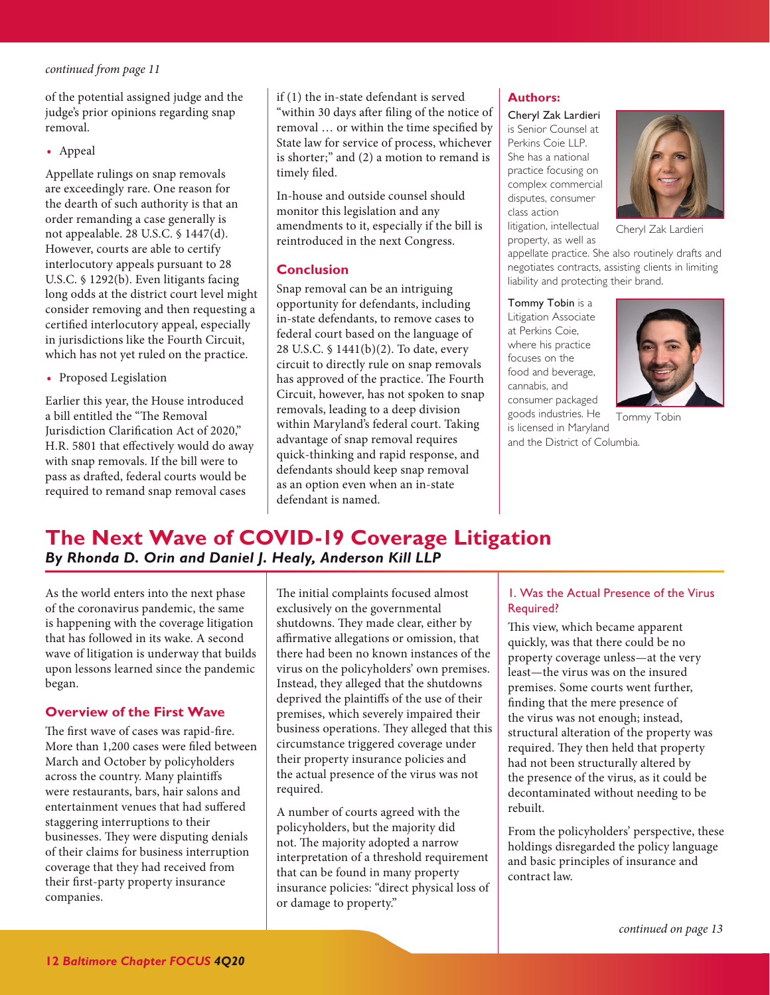<span id="page-11-1"></span>of the potential assigned judge and the judge's prior opinions regarding snap removal.

**•** Appeal

Appellate rulings on snap removals are exceedingly rare. One reason for the dearth of such authority is that an order remanding a case generally is not appealable. 28 U.S.C. § 1447(d). However, courts are able to certify interlocutory appeals pursuant to 28 U.S.C. § 1292(b). Even litigants facing long odds at the district court level might consider removing and then requesting a certified interlocutory appeal, especially in jurisdictions like the Fourth Circuit, which has not yet ruled on the practice.

**•** Proposed Legislation

Earlier this year, the House introduced a bill entitled the "The Removal Jurisdiction Clarification Act of 2020," H.R. 5801 that effectively would do away with snap removals. If the bill were to pass as drafted, federal courts would be required to remand snap removal cases

if (1) the in-state defendant is served "within 30 days after filing of the notice of removal … or within the time specified by State law for service of process, whichever is shorter;" and (2) a motion to remand is timely filed.

In-house and outside counsel should monitor this legislation and any amendments to it, especially if the bill is reintroduced in the next Congress.

#### **Conclusion**

Snap removal can be an intriguing opportunity for defendants, including in-state defendants, to remove cases to federal court based on the language of 28 U.S.C. § 1441(b)(2). To date, every circuit to directly rule on snap removals has approved of the practice. The Fourth Circuit, however, has not spoken to snap removals, leading to a deep division within Maryland's federal court. Taking advantage of snap removal requires quick-thinking and rapid response, and defendants should keep snap removal as an option even when an in-state defendant is named.

## **Authors:**

Cheryl Zak Lardieri is Senior Counsel at Perkins Coie LLP. She has a national practice focusing on complex commercial disputes, consumer class action litigation, intellectual

property, as well as

Cheryl Zak Lardieri

appellate practice. She also routinely drafts and negotiates contracts, assisting clients in limiting liability and protecting their brand.

Tommy Tobin is a Litigation Associate at Perkins Coie, where his practice focuses on the food and beverage, cannabis, and consumer packaged goods industries. He is licensed in Maryland



Tommy Tobin

and the District of Columbia.

# <span id="page-11-0"></span>**The Next Wave of COVID-19 Coverage Litigation** *By Rhonda D. Orin and Daniel J. Healy, Anderson Kill LLP*

As the world enters into the next phase of the coronavirus pandemic, the same is happening with the coverage litigation that has followed in its wake. A second wave of litigation is underway that builds upon lessons learned since the pandemic began.

## **Overview of the First Wave**

The first wave of cases was rapid-fire. More than 1,200 cases were filed between March and October by policyholders across the country. Many plaintiffs were restaurants, bars, hair salons and entertainment venues that had suffered staggering interruptions to their businesses. They were disputing denials of their claims for business interruption coverage that they had received from their first-party property insurance companies.

The initial complaints focused almost exclusively on the governmental shutdowns. They made clear, either by affirmative allegations or omission, that there had been no known instances of the virus on the policyholders' own premises. Instead, they alleged that the shutdowns deprived the plaintiffs of the use of their premises, which severely impaired their business operations. They alleged that this circumstance triggered coverage under their property insurance policies and the actual presence of the virus was not required.

A number of courts agreed with the policyholders, but the majority did not. The majority adopted a narrow interpretation of a threshold requirement that can be found in many property insurance policies: "direct physical loss of or damage to property."

## 1. Was the Actual Presence of the Virus Required?

This view, which became apparent quickly, was that there could be no property coverage unless—at the very least—the virus was on the insured premises. Some courts went further, finding that the mere presence of the virus was not enough; instead, structural alteration of the property was required. They then held that property had not been structurally altered by the presence of the virus, as it could be decontaminated without needing to be rebuilt.

From the policyholders' perspective, these holdings disregarded the policy language and basic principles of insurance and contract law.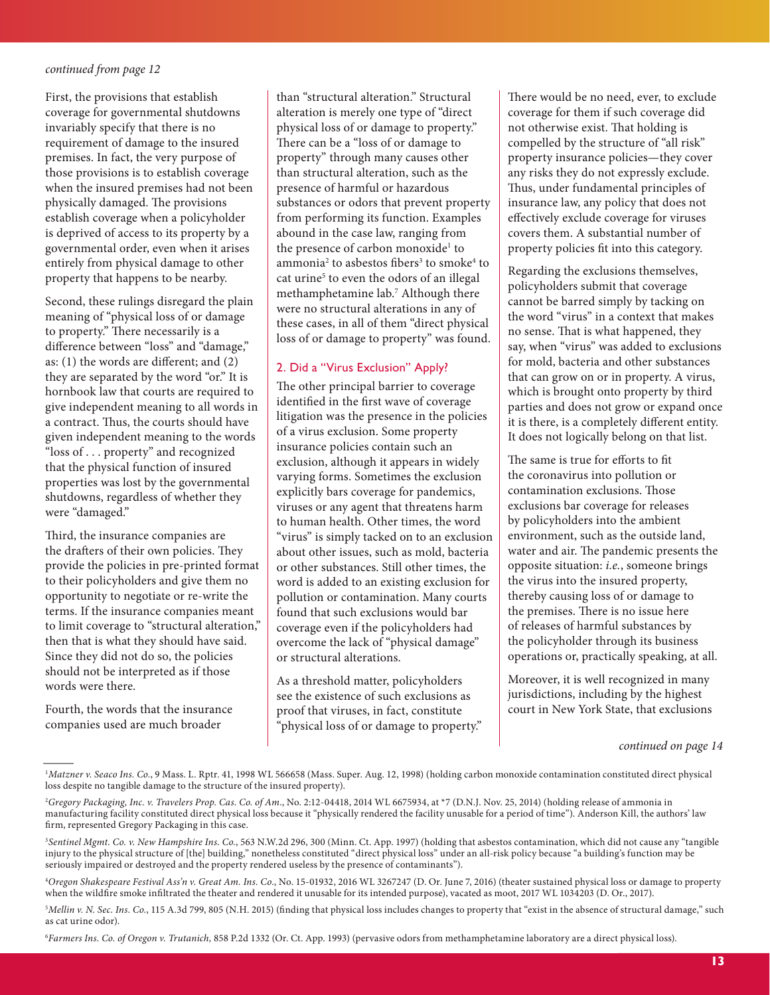<span id="page-12-0"></span>First, the provisions that establish coverage for governmental shutdowns invariably specify that there is no requirement of damage to the insured premises. In fact, the very purpose of those provisions is to establish coverage when the insured premises had not been physically damaged. The provisions establish coverage when a policyholder is deprived of access to its property by a governmental order, even when it arises entirely from physical damage to other property that happens to be nearby.

Second, these rulings disregard the plain meaning of "physical loss of or damage to property." There necessarily is a difference between "loss" and "damage," as: (1) the words are different; and (2) they are separated by the word "or." It is hornbook law that courts are required to give independent meaning to all words in a contract. Thus, the courts should have given independent meaning to the words "loss of . . . property" and recognized that the physical function of insured properties was lost by the governmental shutdowns, regardless of whether they were "damaged."

Third, the insurance companies are the drafters of their own policies. They provide the policies in pre-printed format to their policyholders and give them no opportunity to negotiate or re-write the terms. If the insurance companies meant to limit coverage to "structural alteration," then that is what they should have said. Since they did not do so, the policies should not be interpreted as if those words were there.

Fourth, the words that the insurance companies used are much broader

than "structural alteration." Structural alteration is merely one type of "direct physical loss of or damage to property." There can be a "loss of or damage to property" through many causes other than structural alteration, such as the presence of harmful or hazardous substances or odors that prevent property from performing its function. Examples abound in the case law, ranging from the presence of carbon monoxide<sup>1</sup> to ammonia<sup>2</sup> to asbestos fibers<sup>3</sup> to smoke<sup>4</sup> to cat urine<sup>5</sup> to even the odors of an illegal methamphetamine lab.7 Although there were no structural alterations in any of these cases, in all of them "direct physical loss of or damage to property" was found.

#### 2. Did a "Virus Exclusion" Apply?

The other principal barrier to coverage identified in the first wave of coverage litigation was the presence in the policies of a virus exclusion. Some property insurance policies contain such an exclusion, although it appears in widely varying forms. Sometimes the exclusion explicitly bars coverage for pandemics, viruses or any agent that threatens harm to human health. Other times, the word "virus" is simply tacked on to an exclusion about other issues, such as mold, bacteria or other substances. Still other times, the word is added to an existing exclusion for pollution or contamination. Many courts found that such exclusions would bar coverage even if the policyholders had overcome the lack of "physical damage" or structural alterations.

As a threshold matter, policyholders see the existence of such exclusions as proof that viruses, in fact, constitute "physical loss of or damage to property."

There would be no need, ever, to exclude coverage for them if such coverage did not otherwise exist. That holding is compelled by the structure of "all risk" property insurance policies—they cover any risks they do not expressly exclude. Thus, under fundamental principles of insurance law, any policy that does not effectively exclude coverage for viruses covers them. A substantial number of property policies fit into this category.

Regarding the exclusions themselves, policyholders submit that coverage cannot be barred simply by tacking on the word "virus" in a context that makes no sense. That is what happened, they say, when "virus" was added to exclusions for mold, bacteria and other substances that can grow on or in property. A virus, which is brought onto property by third parties and does not grow or expand once it is there, is a completely different entity. It does not logically belong on that list.

The same is true for efforts to fit the coronavirus into pollution or contamination exclusions. Those exclusions bar coverage for releases by policyholders into the ambient environment, such as the outside land, water and air. The pandemic presents the opposite situation: *i.e.*, someone brings the virus into the insured property, thereby causing loss of or damage to the premises. There is no issue here of releases of harmful substances by the policyholder through its business operations or, practically speaking, at all.

Moreover, it is well recognized in many jurisdictions, including by the highest court in New York State, that exclusions

*[continued on page 14](#page-13-0)*

6 *Farmers Ins. Co. of Oregon v. Trutanich,* 858 P.2d 1332 (Or. Ct. App. 1993) (pervasive odors from methamphetamine laboratory are a direct physical loss).

<sup>&</sup>lt;sup>1</sup>Matzner v. Seaco Ins. Co., 9 Mass. L. Rptr. 41, 1998 WL 566658 (Mass. Super. Aug. 12, 1998) (holding carbon monoxide contamination constituted direct physical loss despite no tangible damage to the structure of the insured property).

<sup>2</sup> *Gregory Packaging, Inc. v. Travelers Prop. Cas. Co. of Am*., No. 2:12-04418, 2014 WL 6675934, at \*7 (D.N.J. Nov. 25, 2014) (holding release of ammonia in manufacturing facility constituted direct physical loss because it "physically rendered the facility unusable for a period of time"). Anderson Kill, the authors' law firm, represented Gregory Packaging in this case.

<sup>3</sup> *Sentinel Mgmt. Co. v. New Hampshire Ins. Co.*, 563 N.W.2d 296, 300 (Minn. Ct. App. 1997) (holding that asbestos contamination, which did not cause any "tangible injury to the physical structure of [the] building," nonetheless constituted "direct physical loss" under an all-risk policy because "a building's function may be seriously impaired or destroyed and the property rendered useless by the presence of contaminants").

<sup>4</sup> *Oregon Shakespeare Festival Ass'n v. Great Am. Ins. Co.*, No. 15-01932, 2016 WL 3267247 (D. Or. June 7, 2016) (theater sustained physical loss or damage to property when the wildfire smoke infiltrated the theater and rendered it unusable for its intended purpose), vacated as moot, 2017 WL 1034203 (D. Or., 2017).

 $^5$ Mellin v. N. Sec. Ins. Co., 115 A.3d 799, 805 (N.H. 2015) (finding that physical loss includes changes to property that "exist in the absence of structural damage," such as cat urine odor).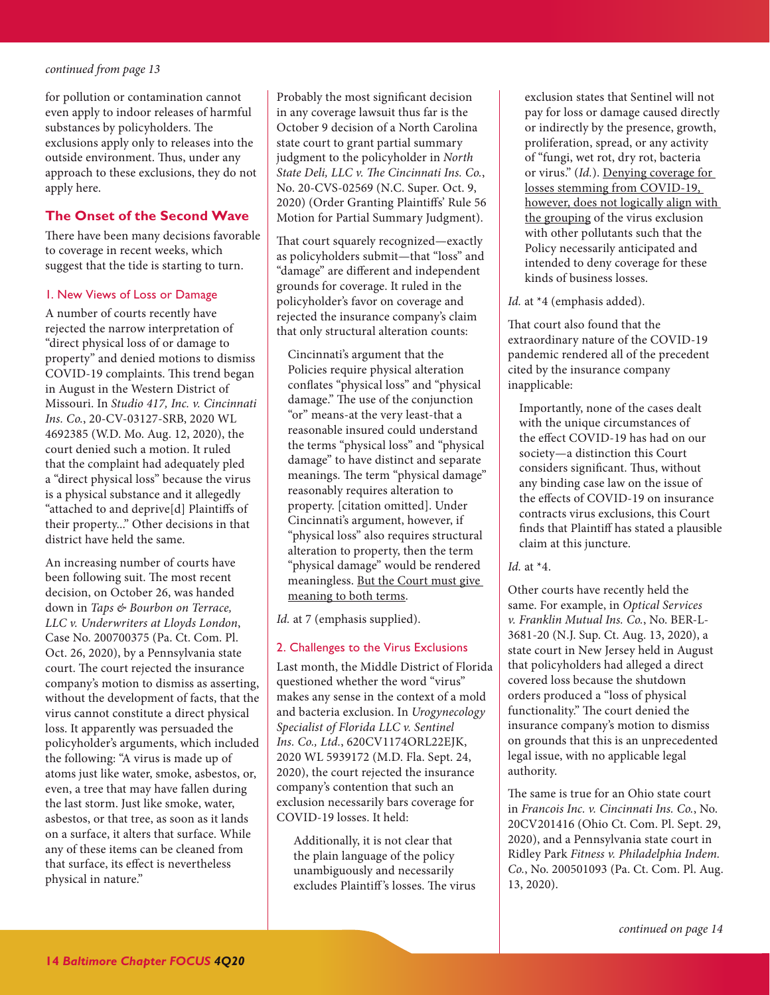<span id="page-13-0"></span>for pollution or contamination cannot even apply to indoor releases of harmful substances by policyholders. The exclusions apply only to releases into the outside environment. Thus, under any approach to these exclusions, they do not apply here.

## **The Onset of the Second Wave**

There have been many decisions favorable to coverage in recent weeks, which suggest that the tide is starting to turn.

#### 1. New Views of Loss or Damage

A number of courts recently have rejected the narrow interpretation of "direct physical loss of or damage to property" and denied motions to dismiss COVID-19 complaints. This trend began in August in the Western District of Missouri. In *Studio 417, Inc. v. Cincinnati Ins. Co.*, 20-CV-03127-SRB, 2020 WL 4692385 (W.D. Mo. Aug. 12, 2020), the court denied such a motion. It ruled that the complaint had adequately pled a "direct physical loss" because the virus is a physical substance and it allegedly "attached to and deprive[d] Plaintiffs of their property..." Other decisions in that district have held the same.

An increasing number of courts have been following suit. The most recent decision, on October 26, was handed down in *Taps & Bourbon on Terrace, LLC v. Underwriters at Lloyds London*, Case No. 200700375 (Pa. Ct. Com. Pl. Oct. 26, 2020), by a Pennsylvania state court. The court rejected the insurance company's motion to dismiss as asserting, without the development of facts, that the virus cannot constitute a direct physical loss. It apparently was persuaded the policyholder's arguments, which included the following: "A virus is made up of atoms just like water, smoke, asbestos, or, even, a tree that may have fallen during the last storm. Just like smoke, water, asbestos, or that tree, as soon as it lands on a surface, it alters that surface. While any of these items can be cleaned from that surface, its effect is nevertheless physical in nature."

Probably the most significant decision in any coverage lawsuit thus far is the October 9 decision of a North Carolina state court to grant partial summary judgment to the policyholder in *North State Deli, LLC v. The Cincinnati Ins. Co.*, No. 20-CVS-02569 (N.C. Super. Oct. 9, 2020) (Order Granting Plaintiffs' Rule 56 Motion for Partial Summary Judgment).

That court squarely recognized—exactly as policyholders submit—that "loss" and "damage" are different and independent grounds for coverage. It ruled in the policyholder's favor on coverage and rejected the insurance company's claim that only structural alteration counts:

Cincinnati's argument that the Policies require physical alteration conflates "physical loss" and "physical damage." The use of the conjunction "or" means-at the very least-that a reasonable insured could understand the terms "physical loss" and "physical damage" to have distinct and separate meanings. The term "physical damage" reasonably requires alteration to property. [citation omitted]. Under Cincinnati's argument, however, if "physical loss" also requires structural alteration to property, then the term "physical damage" would be rendered meaningless. But the Court must give meaning to both terms.

*Id.* at 7 (emphasis supplied).

#### 2. Challenges to the Virus Exclusions

Last month, the Middle District of Florida questioned whether the word "virus" makes any sense in the context of a mold and bacteria exclusion. In *Urogynecology Specialist of Florida LLC v. Sentinel Ins. Co., Ltd.*, 620CV1174ORL22EJK, 2020 WL 5939172 (M.D. Fla. Sept. 24, 2020), the court rejected the insurance company's contention that such an exclusion necessarily bars coverage for COVID-19 losses. It held:

Additionally, it is not clear that the plain language of the policy unambiguously and necessarily excludes Plaintiff 's losses. The virus

exclusion states that Sentinel will not pay for loss or damage caused directly or indirectly by the presence, growth, proliferation, spread, or any activity of "fungi, wet rot, dry rot, bacteria or virus." (*Id.*). Denying coverage for losses stemming from COVID-19, however, does not logically align with the grouping of the virus exclusion with other pollutants such that the Policy necessarily anticipated and intended to deny coverage for these kinds of business losses.

#### *Id.* at \*4 (emphasis added).

That court also found that the extraordinary nature of the COVID-19 pandemic rendered all of the precedent cited by the insurance company inapplicable:

Importantly, none of the cases dealt with the unique circumstances of the effect COVID-19 has had on our society—a distinction this Court considers significant. Thus, without any binding case law on the issue of the effects of COVID-19 on insurance contracts virus exclusions, this Court finds that Plaintiff has stated a plausible claim at this juncture.

#### *Id.* at \*4.

Other courts have recently held the same. For example, in *Optical Services v. Franklin Mutual Ins. Co.*, No. BER-L-3681-20 (N.J. Sup. Ct. Aug. 13, 2020), a state court in New Jersey held in August that policyholders had alleged a direct covered loss because the shutdown orders produced a "loss of physical functionality." The court denied the insurance company's motion to dismiss on grounds that this is an unprecedented legal issue, with no applicable legal authority.

The same is true for an Ohio state court in *Francois Inc. v. Cincinnati Ins. Co.*, No. 20CV201416 (Ohio Ct. Com. Pl. Sept. 29, 2020), and a Pennsylvania state court in Ridley Park *Fitness v. Philadelphia Indem. Co.*, No. 200501093 (Pa. Ct. Com. Pl. Aug. 13, 2020).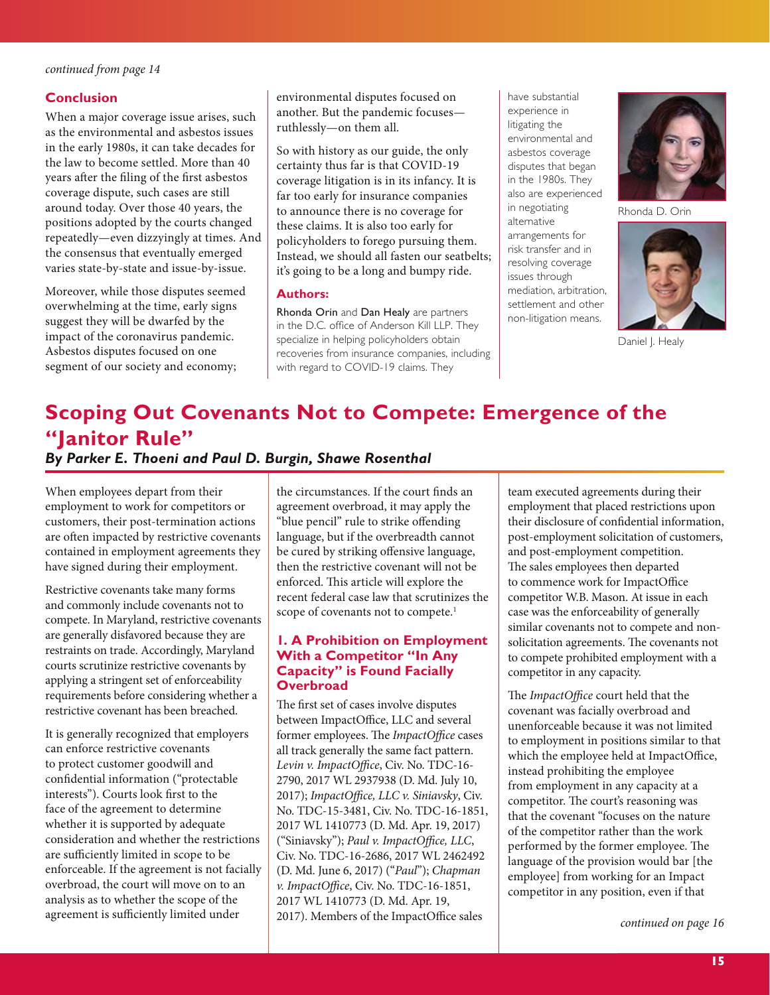#### <span id="page-14-0"></span>**Conclusion**

When a major coverage issue arises, such as the environmental and asbestos issues in the early 1980s, it can take decades for the law to become settled. More than 40 years after the filing of the first asbestos coverage dispute, such cases are still around today. Over those 40 years, the positions adopted by the courts changed repeatedly—even dizzyingly at times. And the consensus that eventually emerged varies state-by-state and issue-by-issue.

Moreover, while those disputes seemed overwhelming at the time, early signs suggest they will be dwarfed by the impact of the coronavirus pandemic. Asbestos disputes focused on one segment of our society and economy;

environmental disputes focused on another. But the pandemic focuses ruthlessly—on them all.

So with history as our guide, the only certainty thus far is that COVID-19 coverage litigation is in its infancy. It is far too early for insurance companies to announce there is no coverage for these claims. It is also too early for policyholders to forego pursuing them. Instead, we should all fasten our seatbelts; it's going to be a long and bumpy ride.

#### **Authors:**

Rhonda Orin and Dan Healy are partners in the D.C. office of Anderson Kill LLP. They specialize in helping policyholders obtain recoveries from insurance companies, including with regard to COVID-19 claims. They

have substantial experience in litigating the environmental and asbestos coverage disputes that began in the 1980s. They also are experienced in negotiating alternative arrangements for risk transfer and in resolving coverage issues through mediation, arbitration, settlement and other non-litigation means.



Rhonda D. Orin



Daniel J. Healy

# **Scoping Out Covenants Not to Compete: Emergence of the "Janitor Rule"**  *By Parker E. Thoeni and Paul D. Burgin, Shawe Rosenthal*

When employees depart from their employment to work for competitors or customers, their post-termination actions are often impacted by restrictive covenants contained in employment agreements they have signed during their employment.

Restrictive covenants take many forms and commonly include covenants not to compete. In Maryland, restrictive covenants are generally disfavored because they are restraints on trade. Accordingly, Maryland courts scrutinize restrictive covenants by applying a stringent set of enforceability requirements before considering whether a restrictive covenant has been breached.

It is generally recognized that employers can enforce restrictive covenants to protect customer goodwill and confidential information ("protectable interests"). Courts look first to the face of the agreement to determine whether it is supported by adequate consideration and whether the restrictions are sufficiently limited in scope to be enforceable. If the agreement is not facially overbroad, the court will move on to an analysis as to whether the scope of the agreement is sufficiently limited under

the circumstances. If the court finds an agreement overbroad, it may apply the "blue pencil" rule to strike offending language, but if the overbreadth cannot be cured by striking offensive language, then the restrictive covenant will not be enforced. This article will explore the recent federal case law that scrutinizes the scope of covenants not to compete.<sup>1</sup>

## **1. A Prohibition on Employment With a Competitor "In Any Capacity" is Found Facially Overbroad**

The first set of cases involve disputes between ImpactOffice, LLC and several former employees. The *ImpactOffice* cases all track generally the same fact pattern. *Levin v. ImpactOffice*, Civ. No. TDC-16- 2790, 2017 WL 2937938 (D. Md. July 10, 2017); *ImpactOffice, LLC v. Siniavsky*, Civ. No. TDC-15-3481, Civ. No. TDC-16-1851, 2017 WL 1410773 (D. Md. Apr. 19, 2017) ("Siniavsky"); *Paul v. ImpactOffice, LLC*, Civ. No. TDC-16-2686, 2017 WL 2462492 (D. Md. June 6, 2017) ("*Paul*"); *Chapman v. ImpactOffice*, Civ. No. TDC-16-1851, 2017 WL 1410773 (D. Md. Apr. 19, 2017). Members of the ImpactOffice sales

team executed agreements during their employment that placed restrictions upon their disclosure of confidential information, post-employment solicitation of customers, and post-employment competition. The sales employees then departed to commence work for ImpactOffice competitor W.B. Mason. At issue in each case was the enforceability of generally similar covenants not to compete and nonsolicitation agreements. The covenants not to compete prohibited employment with a competitor in any capacity.

The *ImpactOffice* court held that the covenant was facially overbroad and unenforceable because it was not limited to employment in positions similar to that which the employee held at ImpactOffice, instead prohibiting the employee from employment in any capacity at a competitor. The court's reasoning was that the covenant "focuses on the nature of the competitor rather than the work performed by the former employee. The language of the provision would bar [the employee] from working for an Impact competitor in any position, even if that

*[continued on page 16](#page-15-0)*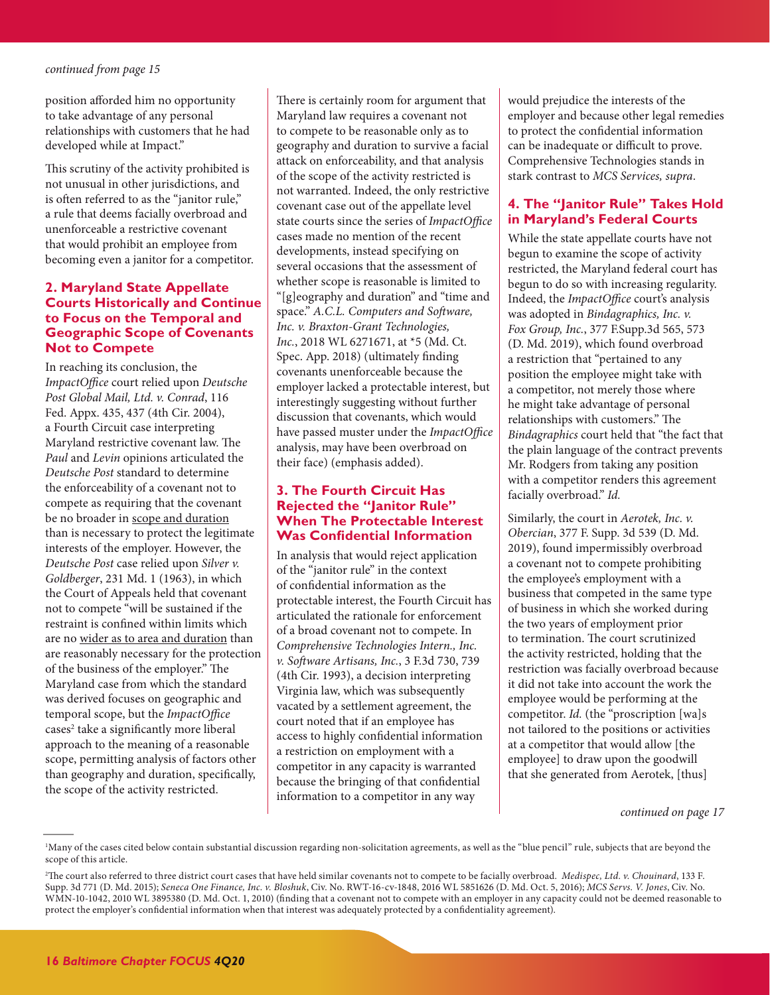<span id="page-15-0"></span>position afforded him no opportunity to take advantage of any personal relationships with customers that he had developed while at Impact."

This scrutiny of the activity prohibited is not unusual in other jurisdictions, and is often referred to as the "janitor rule," a rule that deems facially overbroad and unenforceable a restrictive covenant that would prohibit an employee from becoming even a janitor for a competitor.

## **2. Maryland State Appellate Courts Historically and Continue to Focus on the Temporal and Geographic Scope of Covenants Not to Compete**

In reaching its conclusion, the *ImpactOffice* court relied upon *Deutsche Post Global Mail, Ltd. v. Conrad*, 116 Fed. Appx. 435, 437 (4th Cir. 2004), a Fourth Circuit case interpreting Maryland restrictive covenant law. The *Paul* and *Levin* opinions articulated the *Deutsche Post* standard to determine the enforceability of a covenant not to compete as requiring that the covenant be no broader in scope and duration than is necessary to protect the legitimate interests of the employer. However, the *Deutsche Post* case relied upon *Silver v. Goldberger*, 231 Md. 1 (1963), in which the Court of Appeals held that covenant not to compete "will be sustained if the restraint is confined within limits which are no wider as to area and duration than are reasonably necessary for the protection of the business of the employer." The Maryland case from which the standard was derived focuses on geographic and temporal scope, but the *ImpactOffice* cases<sup>2</sup> take a significantly more liberal approach to the meaning of a reasonable scope, permitting analysis of factors other than geography and duration, specifically, the scope of the activity restricted.

There is certainly room for argument that Maryland law requires a covenant not to compete to be reasonable only as to geography and duration to survive a facial attack on enforceability, and that analysis of the scope of the activity restricted is not warranted. Indeed, the only restrictive covenant case out of the appellate level state courts since the series of *ImpactOffice*  cases made no mention of the recent developments, instead specifying on several occasions that the assessment of whether scope is reasonable is limited to "[g]eography and duration" and "time and space." *A.C.L. Computers and Software, Inc. v. Braxton-Grant Technologies, Inc.*, 2018 WL 6271671, at \*5 (Md. Ct. Spec. App. 2018) (ultimately finding covenants unenforceable because the employer lacked a protectable interest, but interestingly suggesting without further discussion that covenants, which would have passed muster under the *ImpactOffice* analysis, may have been overbroad on their face) (emphasis added).

## **3. The Fourth Circuit Has Rejected the "Janitor Rule" When The Protectable Interest Was Confidential Information**

In analysis that would reject application of the "janitor rule" in the context of confidential information as the protectable interest, the Fourth Circuit has articulated the rationale for enforcement of a broad covenant not to compete. In *Comprehensive Technologies Intern., Inc. v. Software Artisans, Inc.*, 3 F.3d 730, 739 (4th Cir. 1993), a decision interpreting Virginia law, which was subsequently vacated by a settlement agreement, the court noted that if an employee has access to highly confidential information a restriction on employment with a competitor in any capacity is warranted because the bringing of that confidential information to a competitor in any way

would prejudice the interests of the employer and because other legal remedies to protect the confidential information can be inadequate or difficult to prove. Comprehensive Technologies stands in stark contrast to *MCS Services, supra*.

## **4. The "Janitor Rule" Takes Hold in Maryland's Federal Courts**

While the state appellate courts have not begun to examine the scope of activity restricted, the Maryland federal court has begun to do so with increasing regularity. Indeed, the *ImpactOffice* court's analysis was adopted in *Bindagraphics, Inc. v. Fox Group, Inc.*, 377 F.Supp.3d 565, 573 (D. Md. 2019), which found overbroad a restriction that "pertained to any position the employee might take with a competitor, not merely those where he might take advantage of personal relationships with customers." The *Bindagraphics* court held that "the fact that the plain language of the contract prevents Mr. Rodgers from taking any position with a competitor renders this agreement facially overbroad." *Id.*

Similarly, the court in *Aerotek, Inc. v. Obercian*, 377 F. Supp. 3d 539 (D. Md. 2019), found impermissibly overbroad a covenant not to compete prohibiting the employee's employment with a business that competed in the same type of business in which she worked during the two years of employment prior to termination. The court scrutinized the activity restricted, holding that the restriction was facially overbroad because it did not take into account the work the employee would be performing at the competitor. *Id.* (the "proscription [wa]s not tailored to the positions or activities at a competitor that would allow [the employee] to draw upon the goodwill that she generated from Aerotek, [thus]

#### *[continued on page 17](#page-16-0)*

<sup>1</sup> Many of the cases cited below contain substantial discussion regarding non-solicitation agreements, as well as the "blue pencil" rule, subjects that are beyond the scope of this article.

<sup>2</sup> The court also referred to three district court cases that have held similar covenants not to compete to be facially overbroad. *Medispec, Ltd. v. Chouinard*, 133 F. Supp. 3d 771 (D. Md. 2015); *Seneca One Finance, Inc. v. Bloshuk*, Civ. No. RWT-16-cv-1848, 2016 WL 5851626 (D. Md. Oct. 5, 2016); *MCS Servs. V. Jones*, Civ. No. WMN-10-1042, 2010 WL 3895380 (D. Md. Oct. 1, 2010) (finding that a covenant not to compete with an employer in any capacity could not be deemed reasonable to protect the employer's confidential information when that interest was adequately protected by a confidentiality agreement).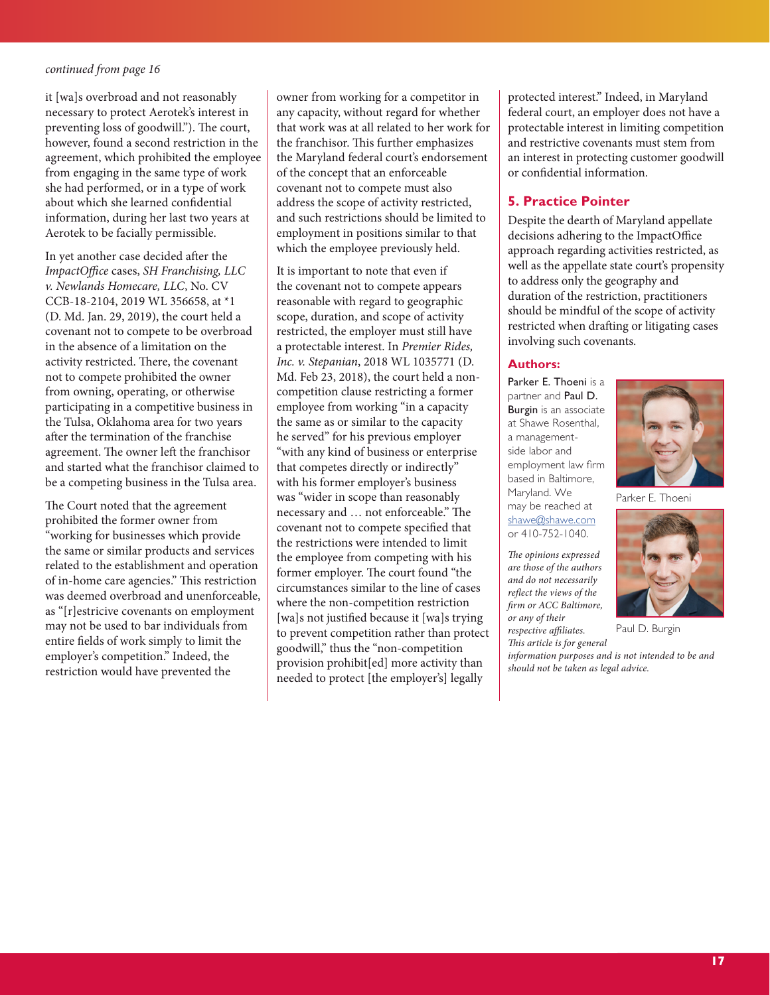<span id="page-16-0"></span>it [wa]s overbroad and not reasonably necessary to protect Aerotek's interest in preventing loss of goodwill."). The court, however, found a second restriction in the agreement, which prohibited the employee from engaging in the same type of work she had performed, or in a type of work about which she learned confidential information, during her last two years at Aerotek to be facially permissible.

In yet another case decided after the *ImpactOffice* cases, *SH Franchising, LLC v. Newlands Homecare, LLC*, No. CV CCB-18-2104, 2019 WL 356658, at \*1 (D. Md. Jan. 29, 2019), the court held a covenant not to compete to be overbroad in the absence of a limitation on the activity restricted. There, the covenant not to compete prohibited the owner from owning, operating, or otherwise participating in a competitive business in the Tulsa, Oklahoma area for two years after the termination of the franchise agreement. The owner left the franchisor and started what the franchisor claimed to be a competing business in the Tulsa area.

The Court noted that the agreement prohibited the former owner from "working for businesses which provide the same or similar products and services related to the establishment and operation of in-home care agencies." This restriction was deemed overbroad and unenforceable, as "[r]estricive covenants on employment may not be used to bar individuals from entire fields of work simply to limit the employer's competition." Indeed, the restriction would have prevented the

owner from working for a competitor in any capacity, without regard for whether that work was at all related to her work for the franchisor. This further emphasizes the Maryland federal court's endorsement of the concept that an enforceable covenant not to compete must also address the scope of activity restricted, and such restrictions should be limited to employment in positions similar to that which the employee previously held.

It is important to note that even if the covenant not to compete appears reasonable with regard to geographic scope, duration, and scope of activity restricted, the employer must still have a protectable interest. In *Premier Rides, Inc. v. Stepanian*, 2018 WL 1035771 (D. Md. Feb 23, 2018), the court held a noncompetition clause restricting a former employee from working "in a capacity the same as or similar to the capacity he served" for his previous employer "with any kind of business or enterprise that competes directly or indirectly" with his former employer's business was "wider in scope than reasonably necessary and … not enforceable." The covenant not to compete specified that the restrictions were intended to limit the employee from competing with his former employer. The court found "the circumstances similar to the line of cases where the non-competition restriction [wa]s not justified because it [wa]s trying to prevent competition rather than protect goodwill," thus the "non-competition provision prohibit[ed] more activity than needed to protect [the employer's] legally

protected interest." Indeed, in Maryland federal court, an employer does not have a protectable interest in limiting competition and restrictive covenants must stem from an interest in protecting customer goodwill or confidential information.

## **5. Practice Pointer**

Despite the dearth of Maryland appellate decisions adhering to the ImpactOffice approach regarding activities restricted, as well as the appellate state court's propensity to address only the geography and duration of the restriction, practitioners should be mindful of the scope of activity restricted when drafting or litigating cases involving such covenants.

#### **Authors:**

Parker E. Thoeni is a partner and Paul D. Burgin is an associate at Shawe Rosenthal, a managementside labor and employment law firm based in Baltimore, Maryland. We may be reached at [shawe@shawe.com](mailto:shawe%40shawe.com?subject=) or 410-752-1040.

*The opinions expressed are those of the authors and do not necessarily reflect the views of the firm or ACC Baltimore, or any of their respective affiliates.* 

*This article is for general* 

*information purposes and is not intended to be and should not be taken as legal advice.*



Parker E. Thoeni

Paul D. Burgin



**17**